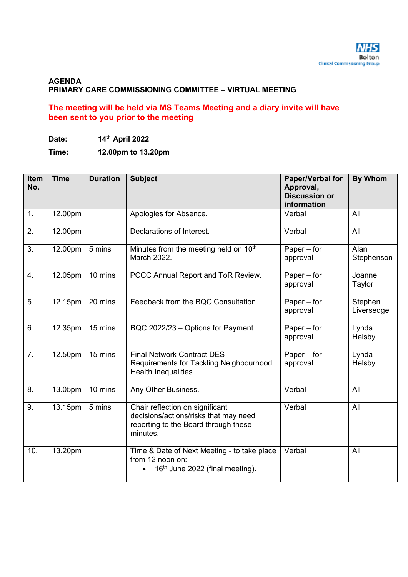#### **AGENDA PRIMARY CARE COMMISSIONING COMMITTEE – VIRTUAL MEETING**

#### **The meeting will be held via MS Teams Meeting and a diary invite will have been sent to you prior to the meeting**

**Time: 12.00pm to 13.20pm** 

| Item<br>No. | <b>Time</b> | <b>Duration</b> | <b>Subject</b>                                                                                                               | <b>Paper/Verbal for</b><br>Approval,<br><b>Discussion or</b><br>information | <b>By Whom</b>              |
|-------------|-------------|-----------------|------------------------------------------------------------------------------------------------------------------------------|-----------------------------------------------------------------------------|-----------------------------|
| 1.          | 12.00pm     |                 | Apologies for Absence.                                                                                                       | Verbal                                                                      | All                         |
| 2.          | 12.00pm     |                 | Declarations of Interest.                                                                                                    | Verbal                                                                      | All                         |
| 3.          | 12.00pm     | 5 mins          | Minutes from the meeting held on 10 <sup>th</sup><br>March 2022.                                                             | Paper $-$ for<br>approval                                                   | Alan<br>Stephenson          |
| 4.          | 12.05pm     | 10 mins         | PCCC Annual Report and ToR Review.                                                                                           | Paper $-$ for<br>approval                                                   | Joanne<br>Taylor            |
| 5.          | 12.15pm     | 20 mins         | Feedback from the BQC Consultation.                                                                                          | Paper $-$ for<br>approval                                                   | Stephen<br>Liversedge       |
| 6.          | 12.35pm     | 15 mins         | BQC 2022/23 - Options for Payment.                                                                                           | Paper $-$ for<br>approval                                                   | Ly <sub>nda</sub><br>Helsby |
| 7.          | 12.50pm     | 15 mins         | Final Network Contract DES -<br>Requirements for Tackling Neighbourhood<br>Health Inequalities.                              | Paper $-$ for<br>approval                                                   | Lynda<br>Helsby             |
| 8.          | 13.05pm     | 10 mins         | Any Other Business.                                                                                                          | Verbal                                                                      | All                         |
| 9.          | 13.15pm     | 5 mins          | Chair reflection on significant<br>decisions/actions/risks that may need<br>reporting to the Board through these<br>minutes. | Verbal                                                                      | All                         |
| 10.         | 13.20pm     |                 | Time & Date of Next Meeting - to take place<br>from 12 noon on:-<br>16 <sup>th</sup> June 2022 (final meeting).              | Verbal                                                                      | All                         |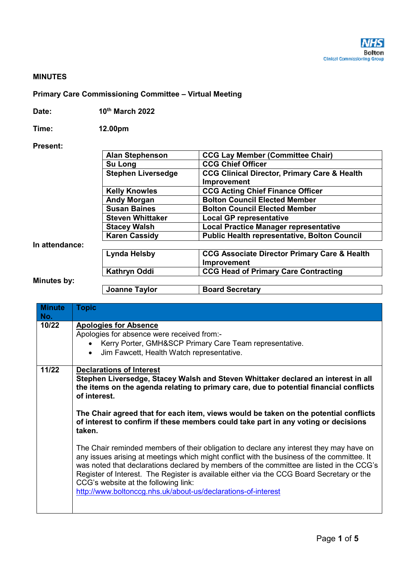#### **MINUTES**

#### **Primary Care Commissioning Committee – Virtual Meeting**

| Date: | 10th March 2022 |
|-------|-----------------|
|-------|-----------------|

**Time: 12.00pm**

#### **Present:**

|                | <b>Alan Stephenson</b>    | <b>CCG Lay Member (Committee Chair)</b>                 |  |  |  |
|----------------|---------------------------|---------------------------------------------------------|--|--|--|
|                |                           |                                                         |  |  |  |
|                | Su Long                   | <b>CCG Chief Officer</b>                                |  |  |  |
|                | <b>Stephen Liversedge</b> | <b>CCG Clinical Director, Primary Care &amp; Health</b> |  |  |  |
|                |                           | <b>Improvement</b>                                      |  |  |  |
|                | <b>Kelly Knowles</b>      | <b>CCG Acting Chief Finance Officer</b>                 |  |  |  |
|                | <b>Andy Morgan</b>        | <b>Bolton Council Elected Member</b>                    |  |  |  |
|                | <b>Susan Baines</b>       | <b>Bolton Council Elected Member</b>                    |  |  |  |
|                | <b>Steven Whittaker</b>   | <b>Local GP representative</b>                          |  |  |  |
|                | <b>Stacey Walsh</b>       | <b>Local Practice Manager representative</b>            |  |  |  |
|                | <b>Karen Cassidy</b>      | <b>Public Health representative, Bolton Council</b>     |  |  |  |
| In attendance: |                           |                                                         |  |  |  |
|                | <b>Lynda Helsby</b>       | <b>CCG Associate Director Primary Care &amp; Health</b> |  |  |  |
|                | <b>Improvement</b>        |                                                         |  |  |  |
|                | Kathryn Oddi              | <b>CCG Head of Primary Care Contracting</b>             |  |  |  |
| Minutes by:    |                           |                                                         |  |  |  |
|                | <b>Joanne Taylor</b>      | <b>Board Secretary</b>                                  |  |  |  |

## **Minute No. Topic 10/22 Apologies for Absence** Apologies for absence were received from:- • Kerry Porter, GMH&SCP Primary Care Team representative. Jim Fawcett, Health Watch representative. **11/22 Declarations of Interest Stephen Liversedge, Stacey Walsh and Steven Whittaker declared an interest in all the items on the agenda relating to primary care, due to potential financial conflicts of interest. The Chair agreed that for each item, views would be taken on the potential conflicts of interest to confirm if these members could take part in any voting or decisions taken.**  The Chair reminded members of their obligation to declare any interest they may have on any issues arising at meetings which might conflict with the business of the committee. It was noted that declarations declared by members of the committee are listed in the CCG's Register of Interest. The Register is available either via the CCG Board Secretary or the CCG's website at the following link: http://www.boltonccg.nhs.uk/about-us/declarations-of-interest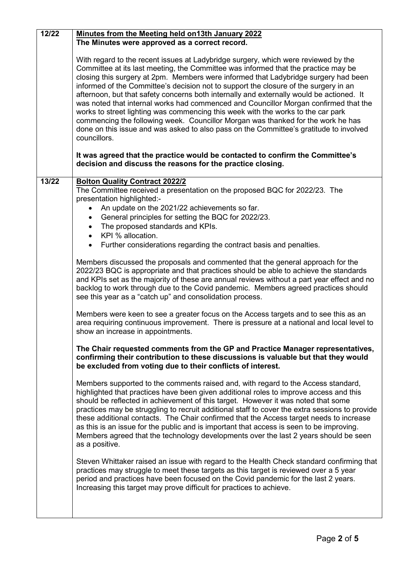| 12/22 | Minutes from the Meeting held on13th January 2022                                                                                                                                                                                                                                                                                                                                                                                                                                                                                                                                                                                                                                                                                                                                                                             |
|-------|-------------------------------------------------------------------------------------------------------------------------------------------------------------------------------------------------------------------------------------------------------------------------------------------------------------------------------------------------------------------------------------------------------------------------------------------------------------------------------------------------------------------------------------------------------------------------------------------------------------------------------------------------------------------------------------------------------------------------------------------------------------------------------------------------------------------------------|
|       | The Minutes were approved as a correct record.                                                                                                                                                                                                                                                                                                                                                                                                                                                                                                                                                                                                                                                                                                                                                                                |
|       | With regard to the recent issues at Ladybridge surgery, which were reviewed by the<br>Committee at its last meeting, the Committee was informed that the practice may be<br>closing this surgery at 2pm. Members were informed that Ladybridge surgery had been<br>informed of the Committee's decision not to support the closure of the surgery in an<br>afternoon, but that safety concerns both internally and externally would be actioned. It<br>was noted that internal works had commenced and Councillor Morgan confirmed that the<br>works to street lighting was commencing this week with the works to the car park<br>commencing the following week. Councillor Morgan was thanked for the work he has<br>done on this issue and was asked to also pass on the Committee's gratitude to involved<br>councillors. |
|       | It was agreed that the practice would be contacted to confirm the Committee's<br>decision and discuss the reasons for the practice closing.                                                                                                                                                                                                                                                                                                                                                                                                                                                                                                                                                                                                                                                                                   |
| 13/22 | <b>Bolton Quality Contract 2022/2</b><br>The Committee received a presentation on the proposed BQC for 2022/23. The<br>presentation highlighted:-                                                                                                                                                                                                                                                                                                                                                                                                                                                                                                                                                                                                                                                                             |
|       | An update on the 2021/22 achievements so far.                                                                                                                                                                                                                                                                                                                                                                                                                                                                                                                                                                                                                                                                                                                                                                                 |
|       | • General principles for setting the BQC for 2022/23.                                                                                                                                                                                                                                                                                                                                                                                                                                                                                                                                                                                                                                                                                                                                                                         |
|       | The proposed standards and KPIs.                                                                                                                                                                                                                                                                                                                                                                                                                                                                                                                                                                                                                                                                                                                                                                                              |
|       | KPI % allocation.                                                                                                                                                                                                                                                                                                                                                                                                                                                                                                                                                                                                                                                                                                                                                                                                             |
|       | Further considerations regarding the contract basis and penalties.<br>$\bullet$                                                                                                                                                                                                                                                                                                                                                                                                                                                                                                                                                                                                                                                                                                                                               |
|       | Members discussed the proposals and commented that the general approach for the<br>2022/23 BQC is appropriate and that practices should be able to achieve the standards<br>and KPIs set as the majority of these are annual reviews without a part year effect and no<br>backlog to work through due to the Covid pandemic. Members agreed practices should<br>see this year as a "catch up" and consolidation process.                                                                                                                                                                                                                                                                                                                                                                                                      |
|       | Members were keen to see a greater focus on the Access targets and to see this as an<br>area requiring continuous improvement. There is pressure at a national and local level to<br>show an increase in appointments.                                                                                                                                                                                                                                                                                                                                                                                                                                                                                                                                                                                                        |
|       | The Chair requested comments from the GP and Practice Manager representatives,<br>confirming their contribution to these discussions is valuable but that they would<br>be excluded from voting due to their conflicts of interest.                                                                                                                                                                                                                                                                                                                                                                                                                                                                                                                                                                                           |
|       | Members supported to the comments raised and, with regard to the Access standard,<br>highlighted that practices have been given additional roles to improve access and this<br>should be reflected in achievement of this target. However it was noted that some<br>practices may be struggling to recruit additional staff to cover the extra sessions to provide<br>these additional contacts. The Chair confirmed that the Access target needs to increase<br>as this is an issue for the public and is important that access is seen to be improving.<br>Members agreed that the technology developments over the last 2 years should be seen<br>as a positive.                                                                                                                                                           |
|       | Steven Whittaker raised an issue with regard to the Health Check standard confirming that<br>practices may struggle to meet these targets as this target is reviewed over a 5 year<br>period and practices have been focused on the Covid pandemic for the last 2 years.<br>Increasing this target may prove difficult for practices to achieve.                                                                                                                                                                                                                                                                                                                                                                                                                                                                              |
|       |                                                                                                                                                                                                                                                                                                                                                                                                                                                                                                                                                                                                                                                                                                                                                                                                                               |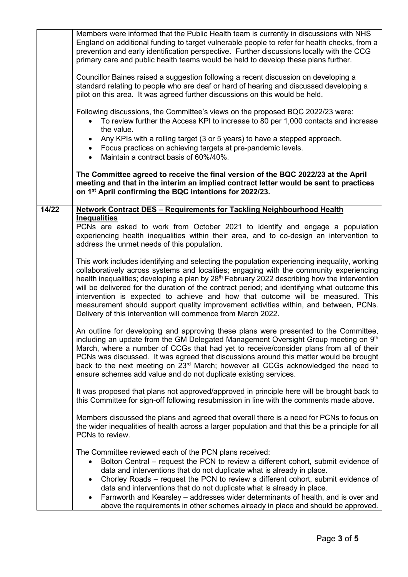|       | Members were informed that the Public Health team is currently in discussions with NHS<br>England on additional funding to target vulnerable people to refer for health checks, from a<br>prevention and early identification perspective. Further discussions locally with the CCG<br>primary care and public health teams would be held to develop these plans further.<br>Councillor Baines raised a suggestion following a recent discussion on developing a<br>standard relating to people who are deaf or hard of hearing and discussed developing a<br>pilot on this area. It was agreed further discussions on this would be held.<br>Following discussions, the Committee's views on the proposed BQC 2022/23 were:<br>To review further the Access KPI to increase to 80 per 1,000 contacts and increase<br>the value.<br>Any KPIs with a rolling target (3 or 5 years) to have a stepped approach.<br>Focus practices on achieving targets at pre-pandemic levels.<br>Maintain a contract basis of 60%/40%.<br>$\bullet$<br>The Committee agreed to receive the final version of the BQC 2022/23 at the April<br>meeting and that in the interim an implied contract letter would be sent to practices |
|-------|-------------------------------------------------------------------------------------------------------------------------------------------------------------------------------------------------------------------------------------------------------------------------------------------------------------------------------------------------------------------------------------------------------------------------------------------------------------------------------------------------------------------------------------------------------------------------------------------------------------------------------------------------------------------------------------------------------------------------------------------------------------------------------------------------------------------------------------------------------------------------------------------------------------------------------------------------------------------------------------------------------------------------------------------------------------------------------------------------------------------------------------------------------------------------------------------------------------------|
|       | on 1 <sup>st</sup> April confirming the BQC intentions for 2022/23.                                                                                                                                                                                                                                                                                                                                                                                                                                                                                                                                                                                                                                                                                                                                                                                                                                                                                                                                                                                                                                                                                                                                               |
| 14/22 | <b>Network Contract DES - Requirements for Tackling Neighbourhood Health</b><br><b>Inequalities</b>                                                                                                                                                                                                                                                                                                                                                                                                                                                                                                                                                                                                                                                                                                                                                                                                                                                                                                                                                                                                                                                                                                               |
|       | PCNs are asked to work from October 2021 to identify and engage a population<br>experiencing health inequalities within their area, and to co-design an intervention to<br>address the unmet needs of this population.                                                                                                                                                                                                                                                                                                                                                                                                                                                                                                                                                                                                                                                                                                                                                                                                                                                                                                                                                                                            |
|       | This work includes identifying and selecting the population experiencing inequality, working<br>collaboratively across systems and localities; engaging with the community experiencing<br>health inequalities; developing a plan by 28 <sup>th</sup> February 2022 describing how the intervention<br>will be delivered for the duration of the contract period; and identifying what outcome this<br>intervention is expected to achieve and how that outcome will be measured. This<br>measurement should support quality improvement activities within, and between, PCNs.<br>Delivery of this intervention will commence from March 2022.                                                                                                                                                                                                                                                                                                                                                                                                                                                                                                                                                                    |
|       | An outline for developing and approving these plans were presented to the Committee,<br>including an update from the GM Delegated Management Oversight Group meeting on 9th<br>March, where a number of CCGs that had yet to receive/consider plans from all of their<br>PCNs was discussed. It was agreed that discussions around this matter would be brought<br>back to the next meeting on 23 <sup>rd</sup> March; however all CCGs acknowledged the need to<br>ensure schemes add value and do not duplicate existing services.                                                                                                                                                                                                                                                                                                                                                                                                                                                                                                                                                                                                                                                                              |
|       | It was proposed that plans not approved/approved in principle here will be brought back to<br>this Committee for sign-off following resubmission in line with the comments made above.                                                                                                                                                                                                                                                                                                                                                                                                                                                                                                                                                                                                                                                                                                                                                                                                                                                                                                                                                                                                                            |
|       | Members discussed the plans and agreed that overall there is a need for PCNs to focus on<br>the wider inequalities of health across a larger population and that this be a principle for all<br>PCNs to review.                                                                                                                                                                                                                                                                                                                                                                                                                                                                                                                                                                                                                                                                                                                                                                                                                                                                                                                                                                                                   |
|       | The Committee reviewed each of the PCN plans received:<br>Bolton Central - request the PCN to review a different cohort, submit evidence of<br>data and interventions that do not duplicate what is already in place.<br>Chorley Roads – request the PCN to review a different cohort, submit evidence of<br>data and interventions that do not duplicate what is already in place.<br>Farnworth and Kearsley – addresses wider determinants of health, and is over and<br>above the requirements in other schemes already in place and should be approved.                                                                                                                                                                                                                                                                                                                                                                                                                                                                                                                                                                                                                                                       |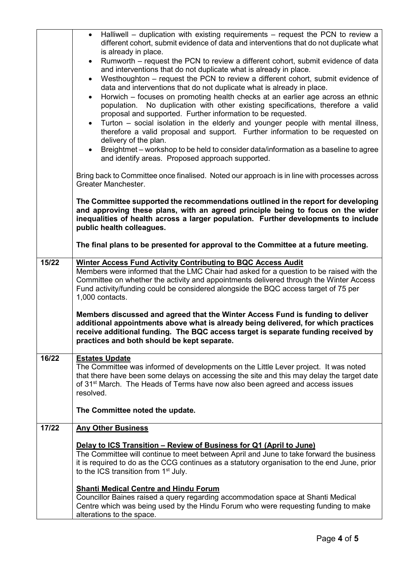|       | Halliwell – duplication with existing requirements – request the PCN to review a<br>$\bullet$<br>different cohort, submit evidence of data and interventions that do not duplicate what<br>is already in place.<br>Rumworth – request the PCN to review a different cohort, submit evidence of data<br>$\bullet$<br>and interventions that do not duplicate what is already in place.<br>Westhoughton – request the PCN to review a different cohort, submit evidence of<br>$\bullet$<br>data and interventions that do not duplicate what is already in place.<br>Horwich – focuses on promoting health checks at an earlier age across an ethnic<br>$\bullet$ |
|-------|-----------------------------------------------------------------------------------------------------------------------------------------------------------------------------------------------------------------------------------------------------------------------------------------------------------------------------------------------------------------------------------------------------------------------------------------------------------------------------------------------------------------------------------------------------------------------------------------------------------------------------------------------------------------|
|       | population. No duplication with other existing specifications, therefore a valid<br>proposal and supported. Further information to be requested.<br>Turton – social isolation in the elderly and younger people with mental illness,<br>$\bullet$<br>therefore a valid proposal and support. Further information to be requested on<br>delivery of the plan.<br>Breightmet – workshop to be held to consider data/information as a baseline to agree<br>$\bullet$                                                                                                                                                                                               |
|       | and identify areas. Proposed approach supported.                                                                                                                                                                                                                                                                                                                                                                                                                                                                                                                                                                                                                |
|       | Bring back to Committee once finalised. Noted our approach is in line with processes across<br>Greater Manchester.                                                                                                                                                                                                                                                                                                                                                                                                                                                                                                                                              |
|       | The Committee supported the recommendations outlined in the report for developing<br>and approving these plans, with an agreed principle being to focus on the wider<br>inequalities of health across a larger population. Further developments to include<br>public health colleagues.                                                                                                                                                                                                                                                                                                                                                                         |
|       | The final plans to be presented for approval to the Committee at a future meeting.                                                                                                                                                                                                                                                                                                                                                                                                                                                                                                                                                                              |
| 15/22 | <b>Winter Access Fund Activity Contributing to BQC Access Audit</b><br>Members were informed that the LMC Chair had asked for a question to be raised with the<br>Committee on whether the activity and appointments delivered through the Winter Access<br>Fund activity/funding could be considered alongside the BQC access target of 75 per<br>1,000 contacts.                                                                                                                                                                                                                                                                                              |
|       | Members discussed and agreed that the Winter Access Fund is funding to deliver<br>additional appointments above what is already being delivered, for which practices<br>receive additional funding. The BQC access target is separate funding received by<br>practices and both should be kept separate.                                                                                                                                                                                                                                                                                                                                                        |
| 16/22 | <b>Estates Update</b><br>The Committee was informed of developments on the Little Lever project. It was noted<br>that there have been some delays on accessing the site and this may delay the target date<br>of 31 <sup>st</sup> March. The Heads of Terms have now also been agreed and access issues<br>resolved.                                                                                                                                                                                                                                                                                                                                            |
|       | The Committee noted the update.                                                                                                                                                                                                                                                                                                                                                                                                                                                                                                                                                                                                                                 |
| 17/22 | <b>Any Other Business</b>                                                                                                                                                                                                                                                                                                                                                                                                                                                                                                                                                                                                                                       |
|       | Delay to ICS Transition – Review of Business for Q1 (April to June)<br>The Committee will continue to meet between April and June to take forward the business<br>it is required to do as the CCG continues as a statutory organisation to the end June, prior<br>to the ICS transition from 1 <sup>st</sup> July.                                                                                                                                                                                                                                                                                                                                              |
|       | <b>Shanti Medical Centre and Hindu Forum</b><br>Councillor Baines raised a query regarding accommodation space at Shanti Medical<br>Centre which was being used by the Hindu Forum who were requesting funding to make<br>alterations to the space.                                                                                                                                                                                                                                                                                                                                                                                                             |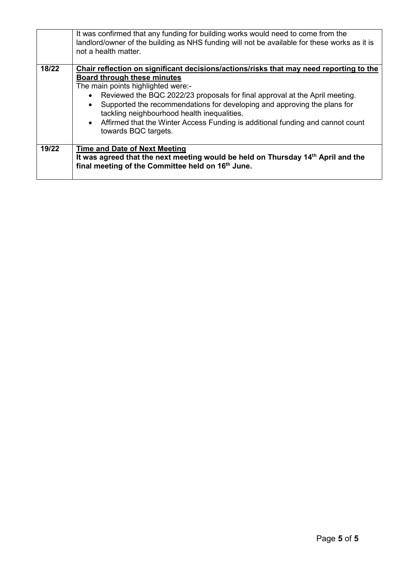|       | It was confirmed that any funding for building works would need to come from the<br>landlord/owner of the building as NHS funding will not be available for these works as it is<br>not a health matter. |  |  |  |  |
|-------|----------------------------------------------------------------------------------------------------------------------------------------------------------------------------------------------------------|--|--|--|--|
| 18/22 | Chair reflection on significant decisions/actions/risks that may need reporting to the                                                                                                                   |  |  |  |  |
|       | Board through these minutes                                                                                                                                                                              |  |  |  |  |
|       | The main points highlighted were:-                                                                                                                                                                       |  |  |  |  |
|       | Reviewed the BQC 2022/23 proposals for final approval at the April meeting.<br>$\bullet$                                                                                                                 |  |  |  |  |
|       | Supported the recommendations for developing and approving the plans for<br>$\bullet$                                                                                                                    |  |  |  |  |
|       | tackling neighbourhood health inequalities.                                                                                                                                                              |  |  |  |  |
|       | • Affirmed that the Winter Access Funding is additional funding and cannot count                                                                                                                         |  |  |  |  |
|       | towards BQC targets.                                                                                                                                                                                     |  |  |  |  |
|       |                                                                                                                                                                                                          |  |  |  |  |
| 19/22 | <b>Time and Date of Next Meeting</b>                                                                                                                                                                     |  |  |  |  |
|       | It was agreed that the next meeting would be held on Thursday 14 <sup>th</sup> April and the                                                                                                             |  |  |  |  |
|       | final meeting of the Committee held on 16 <sup>th</sup> June.                                                                                                                                            |  |  |  |  |
|       |                                                                                                                                                                                                          |  |  |  |  |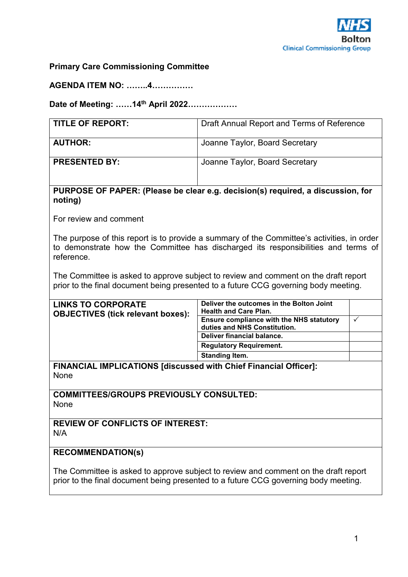

## **Primary Care Commissioning Committee**

**AGENDA ITEM NO: ……..4……………** 

**Date of Meeting: ……14th April 2022………………** 

| <b>TITLE OF REPORT:</b> | Draft Annual Report and Terms of Reference |  |  |  |
|-------------------------|--------------------------------------------|--|--|--|
| <b>AUTHOR:</b>          | Joanne Taylor, Board Secretary             |  |  |  |
| <b>PRESENTED BY:</b>    | Joanne Taylor, Board Secretary             |  |  |  |

#### **PURPOSE OF PAPER: (Please be clear e.g. decision(s) required, a discussion, for noting)**

For review and comment

The purpose of this report is to provide a summary of the Committee's activities, in order to demonstrate how the Committee has discharged its responsibilities and terms of reference.

The Committee is asked to approve subject to review and comment on the draft report prior to the final document being presented to a future CCG governing body meeting.

| <b>LINKS TO CORPORATE</b><br><b>OBJECTIVES (tick relevant boxes):</b> | Deliver the outcomes in the Bolton Joint<br><b>Health and Care Plan.</b> |  |
|-----------------------------------------------------------------------|--------------------------------------------------------------------------|--|
|                                                                       | Ensure compliance with the NHS statutory                                 |  |
|                                                                       | duties and NHS Constitution.                                             |  |
|                                                                       | Deliver financial balance.                                               |  |
|                                                                       | <b>Regulatory Requirement.</b>                                           |  |
|                                                                       | <b>Standing Item.</b>                                                    |  |
| FINANCIAL IMPLICATIONS [discussed with Chief Financial Officer]:      |                                                                          |  |
| . .                                                                   |                                                                          |  |

None

**COMMITTEES/GROUPS PREVIOUSLY CONSULTED:**  None

**REVIEW OF CONFLICTS OF INTEREST:**  N/A

#### **RECOMMENDATION(s)**

The Committee is asked to approve subject to review and comment on the draft report prior to the final document being presented to a future CCG governing body meeting.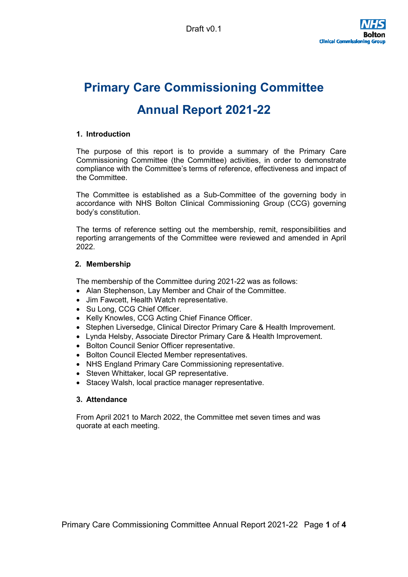# **Primary Care Commissioning Committee Annual Report 2021-22**

#### **1. Introduction**

The purpose of this report is to provide a summary of the Primary Care Commissioning Committee (the Committee) activities, in order to demonstrate compliance with the Committee's terms of reference, effectiveness and impact of the Committee.

The Committee is established as a Sub-Committee of the governing body in accordance with NHS Bolton Clinical Commissioning Group (CCG) governing body's constitution.

The terms of reference setting out the membership, remit, responsibilities and reporting arrangements of the Committee were reviewed and amended in April 2022.

#### **2. Membership**

The membership of the Committee during 2021-22 was as follows:

- Alan Stephenson, Lay Member and Chair of the Committee.
- Jim Fawcett, Health Watch representative.
- Su Long, CCG Chief Officer.
- Kelly Knowles, CCG Acting Chief Finance Officer.
- Stephen Liversedge, Clinical Director Primary Care & Health Improvement.
- Lynda Helsby, Associate Director Primary Care & Health Improvement.
- Bolton Council Senior Officer representative.
- Bolton Council Elected Member representatives.
- NHS England Primary Care Commissioning representative.
- Steven Whittaker, local GP representative.
- Stacey Walsh, local practice manager representative.

#### **3. Attendance**

From April 2021 to March 2022, the Committee met seven times and was quorate at each meeting.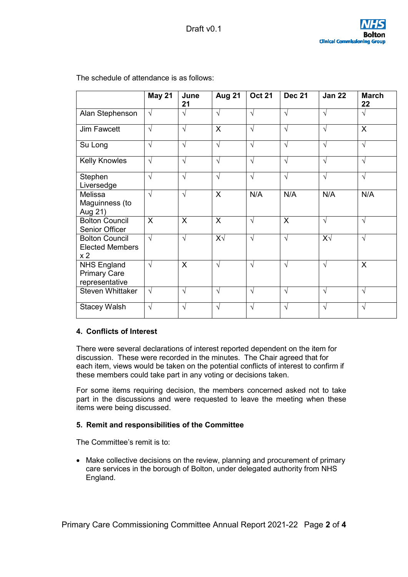|                                                                   | <b>May 21</b> | June<br>21   | <b>Aug 21</b> | <b>Oct 21</b> | <b>Dec 21</b> | <b>Jan 22</b> | <b>March</b><br>22 |
|-------------------------------------------------------------------|---------------|--------------|---------------|---------------|---------------|---------------|--------------------|
| Alan Stephenson                                                   | $\sqrt{ }$    | $\sqrt{ }$   | $\sqrt{}$     | V             | $\sqrt{ }$    | $\sqrt{ }$    | $\sqrt{ }$         |
| <b>Jim Fawcett</b>                                                | $\sqrt{}$     | $\sqrt{}$    | X             | $\sqrt{ }$    | $\sqrt{ }$    | $\sqrt{ }$    | $\mathsf{X}$       |
| Su Long                                                           | $\sqrt{ }$    | $\sqrt{ }$   | $\sqrt{}$     | $\sqrt{}$     | $\sqrt{ }$    | $\sqrt{ }$    | $\sqrt{}$          |
| <b>Kelly Knowles</b>                                              | $\sqrt{ }$    | $\sqrt{ }$   | $\sqrt{}$     | $\sqrt{}$     | $\sqrt{}$     | $\sqrt{ }$    | $\sqrt{}$          |
| Stephen<br>Liversedge                                             | $\sqrt{}$     | $\sqrt{ }$   | $\sqrt{ }$    | $\sqrt{ }$    | $\sqrt{ }$    | $\sqrt{ }$    | $\sqrt{ }$         |
| Melissa<br>Maguinness (to<br>Aug 21)                              | $\sqrt{}$     | $\sqrt{}$    | X             | N/A           | N/A           | N/A           | N/A                |
| <b>Bolton Council</b><br>Senior Officer                           | X             | $\mathsf{X}$ | $\sf X$       | $\sqrt{}$     | $\mathsf{X}$  | $\sqrt{ }$    | $\sqrt{}$          |
| <b>Bolton Council</b><br><b>Elected Members</b><br>x <sub>2</sub> | $\sqrt{ }$    | $\sqrt{ }$   | $X\sqrt{}$    | $\sqrt{}$     | $\sqrt{ }$    | $X\sqrt{}$    | $\sqrt{}$          |
| <b>NHS England</b><br><b>Primary Care</b><br>representative       | $\sqrt{ }$    | $\mathsf{X}$ | $\sqrt{}$     | $\sqrt{}$     | $\sqrt{ }$    | $\sqrt{ }$    | X                  |
| <b>Steven Whittaker</b>                                           | $\sqrt{ }$    | $\sqrt{ }$   | $\sqrt{}$     | $\sqrt{}$     | $\sqrt{}$     | $\sqrt{ }$    | $\sqrt{}$          |
| <b>Stacey Walsh</b>                                               | $\sqrt{}$     | V            | $\sqrt{}$     | V             | $\sqrt{ }$    | $\sqrt{ }$    | $\sqrt{ }$         |

The schedule of attendance is as follows:

#### **4. Conflicts of Interest**

There were several declarations of interest reported dependent on the item for discussion. These were recorded in the minutes. The Chair agreed that for each item, views would be taken on the potential conflicts of interest to confirm if these members could take part in any voting or decisions taken.

For some items requiring decision, the members concerned asked not to take part in the discussions and were requested to leave the meeting when these items were being discussed.

#### **5. Remit and responsibilities of the Committee**

The Committee's remit is to:

 Make collective decisions on the review, planning and procurement of primary care services in the borough of Bolton, under delegated authority from NHS England.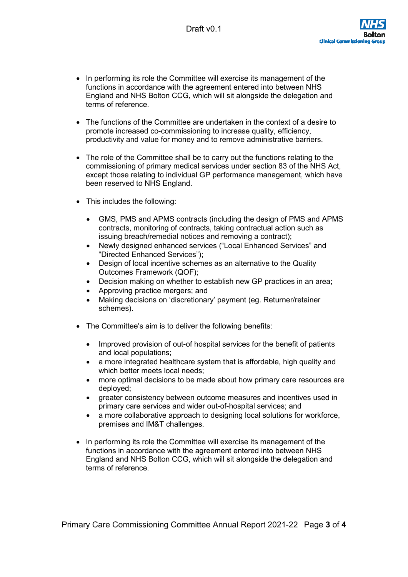- In performing its role the Committee will exercise its management of the functions in accordance with the agreement entered into between NHS England and NHS Bolton CCG, which will sit alongside the delegation and terms of reference.
- The functions of the Committee are undertaken in the context of a desire to promote increased co-commissioning to increase quality, efficiency, productivity and value for money and to remove administrative barriers.
- The role of the Committee shall be to carry out the functions relating to the commissioning of primary medical services under section 83 of the NHS Act, except those relating to individual GP performance management, which have been reserved to NHS England.
- This includes the following:
	- GMS, PMS and APMS contracts (including the design of PMS and APMS contracts, monitoring of contracts, taking contractual action such as issuing breach/remedial notices and removing a contract);
	- Newly designed enhanced services ("Local Enhanced Services" and "Directed Enhanced Services");
	- Design of local incentive schemes as an alternative to the Quality Outcomes Framework (QOF);
	- Decision making on whether to establish new GP practices in an area;
	- Approving practice mergers; and
	- Making decisions on 'discretionary' payment (eg. Returner/retainer schemes).
- The Committee's aim is to deliver the following benefits:
	- Improved provision of out-of hospital services for the benefit of patients and local populations;
	- a more integrated healthcare system that is affordable, high quality and which better meets local needs;
	- more optimal decisions to be made about how primary care resources are deployed;
	- greater consistency between outcome measures and incentives used in primary care services and wider out-of-hospital services; and
	- a more collaborative approach to designing local solutions for workforce, premises and IM&T challenges.
- In performing its role the Committee will exercise its management of the functions in accordance with the agreement entered into between NHS England and NHS Bolton CCG, which will sit alongside the delegation and terms of reference.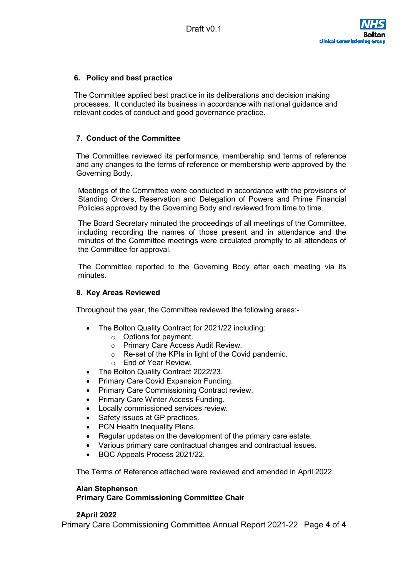#### **6. Policy and best practice**

The Committee applied best practice in its deliberations and decision making processes. It conducted its business in accordance with national guidance and relevant codes of conduct and good governance practice.

#### **7. Conduct of the Committee**

The Committee reviewed its performance, membership and terms of reference and any changes to the terms of reference or membership were approved by the Governing Body.

Meetings of the Committee were conducted in accordance with the provisions of Standing Orders, Reservation and Delegation of Powers and Prime Financial Policies approved by the Governing Body and reviewed from time to time.

The Board Secretary minuted the proceedings of all meetings of the Committee, including recording the names of those present and in attendance and the minutes of the Committee meetings were circulated promptly to all attendees of the Committee for approval.

The Committee reported to the Governing Body after each meeting via its minutes.

#### **8. Key Areas Reviewed**

Throughout the year, the Committee reviewed the following areas:-

- The Bolton Quality Contract for 2021/22 including:
	- o Options for payment.
	- o Primary Care Access Audit Review.
	- o Re-set of the KPIs in light of the Covid pandemic.
	- o End of Year Review.
- The Bolton Quality Contract 2022/23.
- Primary Care Covid Expansion Funding.
- Primary Care Commissioning Contract review.
- Primary Care Winter Access Funding.
- Locally commissioned services review.
- Safety issues at GP practices.
- PCN Health Inequality Plans.
- Regular updates on the development of the primary care estate.
- Various primary care contractual changes and contractual issues.
- BQC Appeals Process 2021/22.

The Terms of Reference attached were reviewed and amended in April 2022.

#### **Alan Stephenson**

#### **Primary Care Commissioning Committee Chair**

#### **2April 2022**

Primary Care Commissioning Committee Annual Report 2021-22 Page **4** of **4**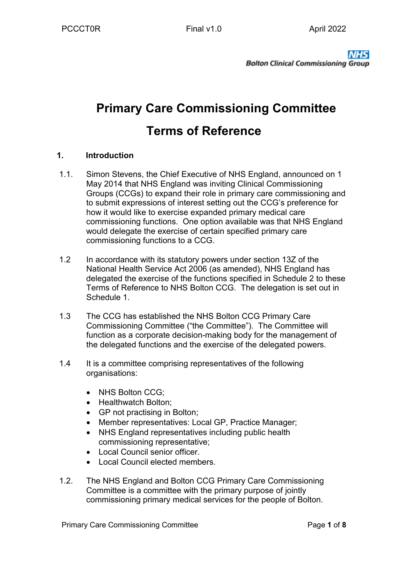# **Primary Care Commissioning Committee Terms of Reference**

## **1. Introduction**

- 1.1. Simon Stevens, the Chief Executive of NHS England, announced on 1 May 2014 that NHS England was inviting Clinical Commissioning Groups (CCGs) to expand their role in primary care commissioning and to submit expressions of interest setting out the CCG's preference for how it would like to exercise expanded primary medical care commissioning functions. One option available was that NHS England would delegate the exercise of certain specified primary care commissioning functions to a CCG.
- 1.2 In accordance with its statutory powers under section 13Z of the National Health Service Act 2006 (as amended), NHS England has delegated the exercise of the functions specified in Schedule 2 to these Terms of Reference to NHS Bolton CCG. The delegation is set out in Schedule 1.
- 1.3 The CCG has established the NHS Bolton CCG Primary Care Commissioning Committee ("the Committee"). The Committee will function as a corporate decision-making body for the management of the delegated functions and the exercise of the delegated powers.
- 1.4 It is a committee comprising representatives of the following organisations:
	- NHS Bolton CCG;
	- Healthwatch Bolton:
	- GP not practising in Bolton;
	- Member representatives: Local GP, Practice Manager;
	- NHS England representatives including public health commissioning representative;
	- Local Council senior officer.
	- Local Council elected members.
- 1.2. The NHS England and Bolton CCG Primary Care Commissioning Committee is a committee with the primary purpose of jointly commissioning primary medical services for the people of Bolton.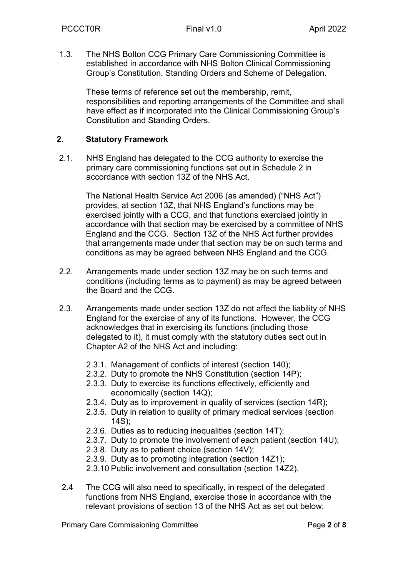1.3. The NHS Bolton CCG Primary Care Commissioning Committee is established in accordance with NHS Bolton Clinical Commissioning Group's Constitution, Standing Orders and Scheme of Delegation.

These terms of reference set out the membership, remit, responsibilities and reporting arrangements of the Committee and shall have effect as if incorporated into the Clinical Commissioning Group's Constitution and Standing Orders.

## **2. Statutory Framework**

2.1. NHS England has delegated to the CCG authority to exercise the primary care commissioning functions set out in Schedule 2 in accordance with section 13Z of the NHS Act.

> The National Health Service Act 2006 (as amended) ("NHS Act") provides, at section 13Z, that NHS England's functions may be exercised jointly with a CCG, and that functions exercised jointly in accordance with that section may be exercised by a committee of NHS England and the CCG. Section 13Z of the NHS Act further provides that arrangements made under that section may be on such terms and conditions as may be agreed between NHS England and the CCG.

- 2.2. Arrangements made under section 13Z may be on such terms and conditions (including terms as to payment) as may be agreed between the Board and the CCG.
- 2.3. Arrangements made under section 13Z do not affect the liability of NHS England for the exercise of any of its functions. However, the CCG acknowledges that in exercising its functions (including those delegated to it), it must comply with the statutory duties sect out in Chapter A2 of the NHS Act and including:
	- 2.3.1. Management of conflicts of interest (section 140);
	- 2.3.2. Duty to promote the NHS Constitution (section 14P);
	- 2.3.3. Duty to exercise its functions effectively, efficiently and economically (section 14Q);
	- 2.3.4. Duty as to improvement in quality of services (section 14R);
	- 2.3.5. Duty in relation to quality of primary medical services (section 14S);
	- 2.3.6. Duties as to reducing inequalities (section 14T);
	- 2.3.7. Duty to promote the involvement of each patient (section 14U);
	- 2.3.8. Duty as to patient choice (section 14V);
	- 2.3.9. Duty as to promoting integration (section 14Z1);
	- 2.3.10 Public involvement and consultation (section 14Z2).
- 2.4 The CCG will also need to specifically, in respect of the delegated functions from NHS England, exercise those in accordance with the relevant provisions of section 13 of the NHS Act as set out below: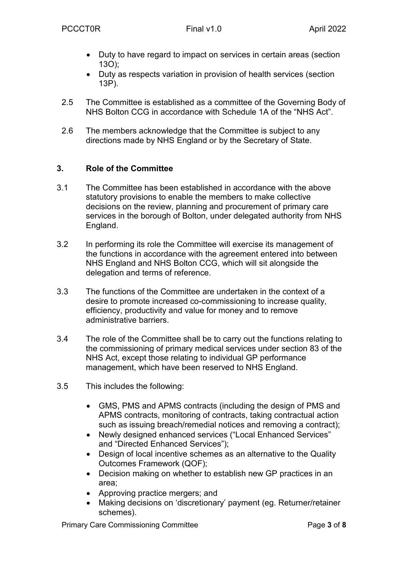- Duty to have regard to impact on services in certain areas (section 13O);
- Duty as respects variation in provision of health services (section 13P).
- 2.5 The Committee is established as a committee of the Governing Body of NHS Bolton CCG in accordance with Schedule 1A of the "NHS Act".
- 2.6 The members acknowledge that the Committee is subject to any directions made by NHS England or by the Secretary of State.

## **3. Role of the Committee**

- 3.1 The Committee has been established in accordance with the above statutory provisions to enable the members to make collective decisions on the review, planning and procurement of primary care services in the borough of Bolton, under delegated authority from NHS England.
- 3.2 In performing its role the Committee will exercise its management of the functions in accordance with the agreement entered into between NHS England and NHS Bolton CCG, which will sit alongside the delegation and terms of reference.
- 3.3 The functions of the Committee are undertaken in the context of a desire to promote increased co-commissioning to increase quality, efficiency, productivity and value for money and to remove administrative barriers.
- 3.4 The role of the Committee shall be to carry out the functions relating to the commissioning of primary medical services under section 83 of the NHS Act, except those relating to individual GP performance management, which have been reserved to NHS England.
- 3.5 This includes the following:
	- GMS, PMS and APMS contracts (including the design of PMS and APMS contracts, monitoring of contracts, taking contractual action such as issuing breach/remedial notices and removing a contract);
	- Newly designed enhanced services ("Local Enhanced Services" and "Directed Enhanced Services");
	- Design of local incentive schemes as an alternative to the Quality Outcomes Framework (QOF);
	- Decision making on whether to establish new GP practices in an area;
	- Approving practice mergers; and
	- Making decisions on 'discretionary' payment (eg. Returner/retainer schemes).

Primary Care Commissioning Committee **Page 1** and **Page 3** of 8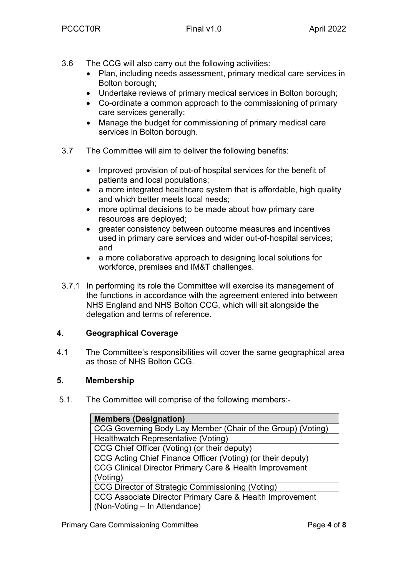- 3.6 The CCG will also carry out the following activities:
	- Plan, including needs assessment, primary medical care services in Bolton borough;
	- Undertake reviews of primary medical services in Bolton borough;
	- Co-ordinate a common approach to the commissioning of primary care services generally;
	- Manage the budget for commissioning of primary medical care services in Bolton borough.
- 3.7 The Committee will aim to deliver the following benefits:
	- Improved provision of out-of hospital services for the benefit of patients and local populations;
	- a more integrated healthcare system that is affordable, high quality and which better meets local needs;
	- more optimal decisions to be made about how primary care resources are deployed;
	- greater consistency between outcome measures and incentives used in primary care services and wider out-of-hospital services; and
	- a more collaborative approach to designing local solutions for workforce, premises and IM&T challenges.
- 3.7.1 In performing its role the Committee will exercise its management of the functions in accordance with the agreement entered into between NHS England and NHS Bolton CCG, which will sit alongside the delegation and terms of reference.

## **4. Geographical Coverage**

4.1 The Committee's responsibilities will cover the same geographical area as those of NHS Bolton CCG.

## **5. Membership**

5.1. The Committee will comprise of the following members:-

| <b>Members (Designation)</b>                                |
|-------------------------------------------------------------|
| CCG Governing Body Lay Member (Chair of the Group) (Voting) |
| Healthwatch Representative (Voting)                         |
| CCG Chief Officer (Voting) (or their deputy)                |
| CCG Acting Chief Finance Officer (Voting) (or their deputy) |
| CCG Clinical Director Primary Care & Health Improvement     |
| (Voting)                                                    |
| CCG Director of Strategic Commissioning (Voting)            |
| CCG Associate Director Primary Care & Health Improvement    |
| (Non-Voting - In Attendance)                                |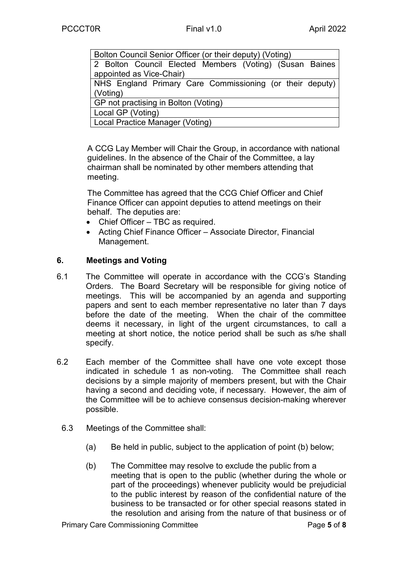| Bolton Council Senior Officer (or their deputy) (Voting) |
|----------------------------------------------------------|
| 2 Bolton Council Elected Members (Voting) (Susan Baines  |
| appointed as Vice-Chair)                                 |
| NHS England Primary Care Commissioning (or their deputy) |
| (Voting)                                                 |
| GP not practising in Bolton (Voting)                     |
| Local GP (Voting)                                        |
| Local Practice Manager (Voting)                          |

A CCG Lay Member will Chair the Group, in accordance with national guidelines. In the absence of the Chair of the Committee, a lay chairman shall be nominated by other members attending that meeting.

The Committee has agreed that the CCG Chief Officer and Chief Finance Officer can appoint deputies to attend meetings on their behalf. The deputies are:

- Chief Officer TBC as required.
- Acting Chief Finance Officer Associate Director, Financial Management.

## **6. Meetings and Voting**

- 6.1 The Committee will operate in accordance with the CCG's Standing Orders. The Board Secretary will be responsible for giving notice of meetings. This will be accompanied by an agenda and supporting papers and sent to each member representative no later than 7 days before the date of the meeting. When the chair of the committee deems it necessary, in light of the urgent circumstances, to call a meeting at short notice, the notice period shall be such as s/he shall specify.
- 6.2 Each member of the Committee shall have one vote except those indicated in schedule 1 as non-voting. The Committee shall reach decisions by a simple majority of members present, but with the Chair having a second and deciding vote, if necessary. However, the aim of the Committee will be to achieve consensus decision-making wherever possible.
	- 6.3 Meetings of the Committee shall:
		- (a) Be held in public, subject to the application of point (b) below;
		- (b) The Committee may resolve to exclude the public from a meeting that is open to the public (whether during the whole or part of the proceedings) whenever publicity would be prejudicial to the public interest by reason of the confidential nature of the business to be transacted or for other special reasons stated in the resolution and arising from the nature of that business or of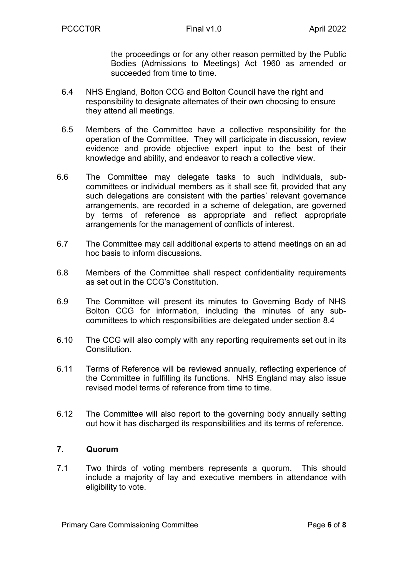the proceedings or for any other reason permitted by the Public Bodies (Admissions to Meetings) Act 1960 as amended or succeeded from time to time.

- 6.4 NHS England, Bolton CCG and Bolton Council have the right and responsibility to designate alternates of their own choosing to ensure they attend all meetings.
- 6.5 Members of the Committee have a collective responsibility for the operation of the Committee. They will participate in discussion, review evidence and provide objective expert input to the best of their knowledge and ability, and endeavor to reach a collective view.
- 6.6 The Committee may delegate tasks to such individuals, subcommittees or individual members as it shall see fit, provided that any such delegations are consistent with the parties' relevant governance arrangements, are recorded in a scheme of delegation, are governed by terms of reference as appropriate and reflect appropriate arrangements for the management of conflicts of interest.
- 6.7 The Committee may call additional experts to attend meetings on an ad hoc basis to inform discussions.
- 6.8 Members of the Committee shall respect confidentiality requirements as set out in the CCG's Constitution.
- 6.9 The Committee will present its minutes to Governing Body of NHS Bolton CCG for information, including the minutes of any subcommittees to which responsibilities are delegated under section 8.4
- 6.10 The CCG will also comply with any reporting requirements set out in its Constitution.
- 6.11 Terms of Reference will be reviewed annually, reflecting experience of the Committee in fulfilling its functions. NHS England may also issue revised model terms of reference from time to time.
- 6.12 The Committee will also report to the governing body annually setting out how it has discharged its responsibilities and its terms of reference.

#### **7. Quorum**

7.1 Two thirds of voting members represents a quorum. This should include a majority of lay and executive members in attendance with eligibility to vote.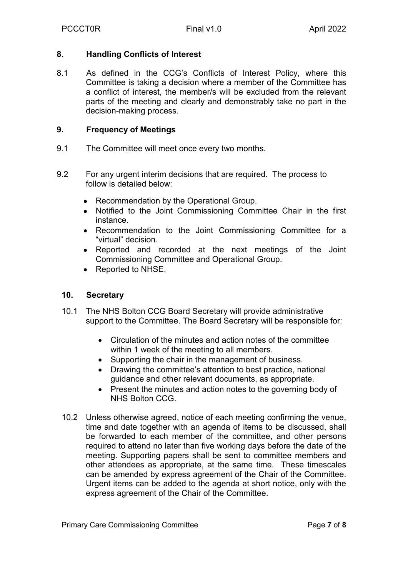## **8. Handling Conflicts of Interest**

8.1 As defined in the CCG's Conflicts of Interest Policy, where this Committee is taking a decision where a member of the Committee has a conflict of interest, the member/s will be excluded from the relevant parts of the meeting and clearly and demonstrably take no part in the decision-making process.

## **9. Frequency of Meetings**

- 9.1 The Committee will meet once every two months.
- 9.2 For any urgent interim decisions that are required. The process to follow is detailed below:
	- Recommendation by the Operational Group.
	- Notified to the Joint Commissioning Committee Chair in the first instance.
	- Recommendation to the Joint Commissioning Committee for a "virtual" decision.
	- Reported and recorded at the next meetings of the Joint Commissioning Committee and Operational Group.
	- Reported to NHSE.

## **10. Secretary**

- 10.1 The NHS Bolton CCG Board Secretary will provide administrative support to the Committee. The Board Secretary will be responsible for:
	- Circulation of the minutes and action notes of the committee within 1 week of the meeting to all members.
	- Supporting the chair in the management of business.
	- Drawing the committee's attention to best practice, national guidance and other relevant documents, as appropriate.
	- Present the minutes and action notes to the governing body of NHS Bolton CCG.
- 10.2 Unless otherwise agreed, notice of each meeting confirming the venue, time and date together with an agenda of items to be discussed, shall be forwarded to each member of the committee, and other persons required to attend no later than five working days before the date of the meeting. Supporting papers shall be sent to committee members and other attendees as appropriate, at the same time. These timescales can be amended by express agreement of the Chair of the Committee. Urgent items can be added to the agenda at short notice, only with the express agreement of the Chair of the Committee.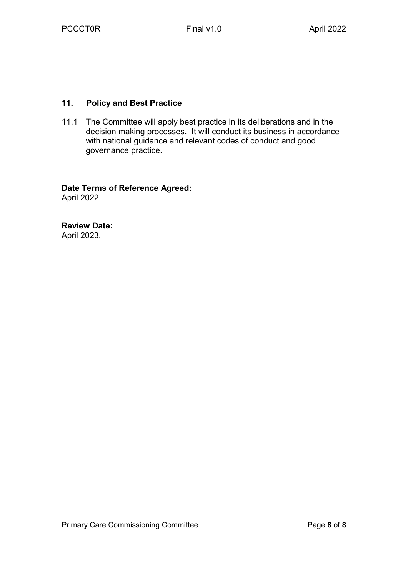## **11. Policy and Best Practice**

11.1 The Committee will apply best practice in its deliberations and in the decision making processes. It will conduct its business in accordance with national guidance and relevant codes of conduct and good governance practice.

# **Date Terms of Reference Agreed:**

April 2022

**Review Date:**  April 2023.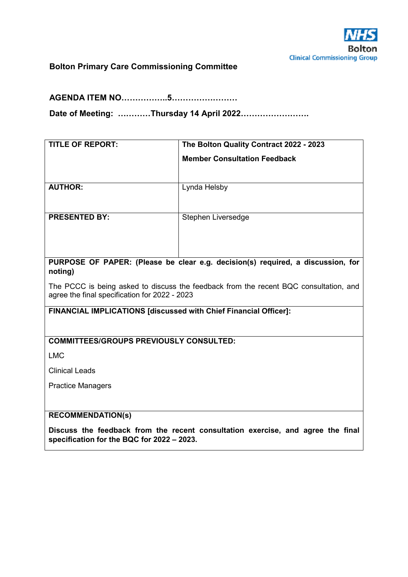

## **Bolton Primary Care Commissioning Committee**

**AGENDA ITEM NO……………..5……………………** 

**Date of Meeting: …………Thursday 14 April 2022…………………….** 

| <b>TITLE OF REPORT:</b>                                          | The Bolton Quality Contract 2022 - 2023                                               |
|------------------------------------------------------------------|---------------------------------------------------------------------------------------|
|                                                                  | <b>Member Consultation Feedback</b>                                                   |
|                                                                  |                                                                                       |
|                                                                  |                                                                                       |
| <b>AUTHOR:</b>                                                   | Lynda Helsby                                                                          |
|                                                                  |                                                                                       |
| <b>PRESENTED BY:</b>                                             | Stephen Liversedge                                                                    |
|                                                                  |                                                                                       |
|                                                                  |                                                                                       |
|                                                                  |                                                                                       |
|                                                                  | PURPOSE OF PAPER: (Please be clear e.g. decision(s) required, a discussion, for       |
| noting)                                                          |                                                                                       |
|                                                                  |                                                                                       |
| agree the final specification for 2022 - 2023                    | The PCCC is being asked to discuss the feedback from the recent BQC consultation, and |
|                                                                  |                                                                                       |
| FINANCIAL IMPLICATIONS [discussed with Chief Financial Officer]: |                                                                                       |
|                                                                  |                                                                                       |
| <b>COMMITTEES/GROUPS PREVIOUSLY CONSULTED:</b>                   |                                                                                       |
|                                                                  |                                                                                       |
| <b>LMC</b>                                                       |                                                                                       |
| <b>Clinical Leads</b>                                            |                                                                                       |
| <b>Practice Managers</b>                                         |                                                                                       |
|                                                                  |                                                                                       |
| <b>RECOMMENDATION(s)</b>                                         |                                                                                       |

**Discuss the feedback from the recent consultation exercise, and agree the final specification for the BQC for 2022 – 2023.**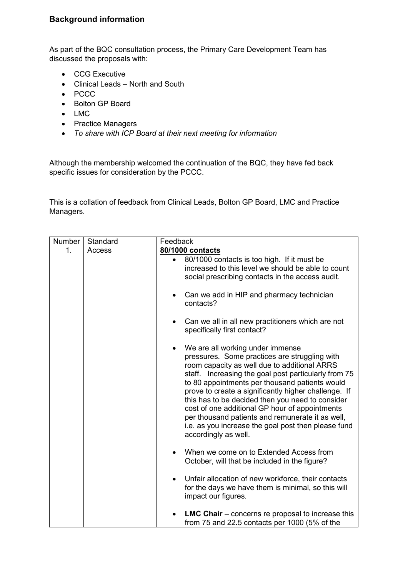## **Background information**

As part of the BQC consultation process, the Primary Care Development Team has discussed the proposals with:

- CCG Executive
- Clinical Leads North and South
- PCCC
- Bolton GP Board
- LMC
- Practice Managers
- *To share with ICP Board at their next meeting for information*

Although the membership welcomed the continuation of the BQC, they have fed back specific issues for consideration by the PCCC.

This is a collation of feedback from Clinical Leads, Bolton GP Board, LMC and Practice Managers.

| Number | Standard | Feedback                                                                                                                                                                                                                                                                                                                                                                                                                                                                                                                                                  |  |  |  |
|--------|----------|-----------------------------------------------------------------------------------------------------------------------------------------------------------------------------------------------------------------------------------------------------------------------------------------------------------------------------------------------------------------------------------------------------------------------------------------------------------------------------------------------------------------------------------------------------------|--|--|--|
| 1.     | Access   | 80/1000 contacts                                                                                                                                                                                                                                                                                                                                                                                                                                                                                                                                          |  |  |  |
|        |          | 80/1000 contacts is too high. If it must be<br>increased to this level we should be able to count<br>social prescribing contacts in the access audit.                                                                                                                                                                                                                                                                                                                                                                                                     |  |  |  |
|        |          | Can we add in HIP and pharmacy technician<br>contacts?                                                                                                                                                                                                                                                                                                                                                                                                                                                                                                    |  |  |  |
|        |          | Can we all in all new practitioners which are not<br>specifically first contact?                                                                                                                                                                                                                                                                                                                                                                                                                                                                          |  |  |  |
|        |          | We are all working under immense<br>$\bullet$<br>pressures. Some practices are struggling with<br>room capacity as well due to additional ARRS<br>staff. Increasing the goal post particularly from 75<br>to 80 appointments per thousand patients would<br>prove to create a significantly higher challenge. If<br>this has to be decided then you need to consider<br>cost of one additional GP hour of appointments<br>per thousand patients and remunerate it as well,<br>i.e. as you increase the goal post then please fund<br>accordingly as well. |  |  |  |
|        |          | When we come on to Extended Access from<br>October, will that be included in the figure?                                                                                                                                                                                                                                                                                                                                                                                                                                                                  |  |  |  |
|        |          | Unfair allocation of new workforce, their contacts<br>$\bullet$<br>for the days we have them is minimal, so this will<br>impact our figures.                                                                                                                                                                                                                                                                                                                                                                                                              |  |  |  |
|        |          | <b>LMC Chair</b> $-$ concerns re proposal to increase this<br>from 75 and 22.5 contacts per 1000 (5% of the                                                                                                                                                                                                                                                                                                                                                                                                                                               |  |  |  |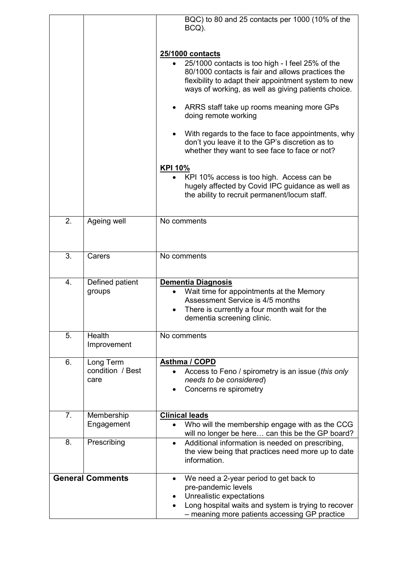|    |                                       | BQC) to 80 and 25 contacts per 1000 (10% of the<br>BCQ).                                                                                                                                                                                                                                                                                                                                                                                                                                                                                                                                        |
|----|---------------------------------------|-------------------------------------------------------------------------------------------------------------------------------------------------------------------------------------------------------------------------------------------------------------------------------------------------------------------------------------------------------------------------------------------------------------------------------------------------------------------------------------------------------------------------------------------------------------------------------------------------|
|    |                                       | 25/1000 contacts<br>25/1000 contacts is too high - I feel 25% of the<br>80/1000 contacts is fair and allows practices the<br>flexibility to adapt their appointment system to new<br>ways of working, as well as giving patients choice.<br>ARRS staff take up rooms meaning more GPs<br>٠<br>doing remote working<br>With regards to the face to face appointments, why<br>don't you leave it to the GP's discretion as to<br>whether they want to see face to face or not?<br><b>KPI 10%</b><br>KPI 10% access is too high. Access can be<br>hugely affected by Covid IPC guidance as well as |
|    |                                       | the ability to recruit permanent/locum staff.                                                                                                                                                                                                                                                                                                                                                                                                                                                                                                                                                   |
| 2. | Ageing well                           | No comments                                                                                                                                                                                                                                                                                                                                                                                                                                                                                                                                                                                     |
| 3. | Carers                                | No comments                                                                                                                                                                                                                                                                                                                                                                                                                                                                                                                                                                                     |
| 4. | Defined patient<br>groups             | Dementia Diagnosis<br>Wait time for appointments at the Memory<br>Assessment Service is 4/5 months<br>There is currently a four month wait for the<br>dementia screening clinic.                                                                                                                                                                                                                                                                                                                                                                                                                |
| 5. | Health<br>Improvement                 | No comments                                                                                                                                                                                                                                                                                                                                                                                                                                                                                                                                                                                     |
| 6. | Long Term<br>condition / Best<br>care | Asthma / COPD<br>Access to Feno / spirometry is an issue (this only<br>$\bullet$<br>needs to be considered)<br>Concerns re spirometry                                                                                                                                                                                                                                                                                                                                                                                                                                                           |
| 7. | Membership<br>Engagement              | <b>Clinical leads</b><br>Who will the membership engage with as the CCG<br>will no longer be here can this be the GP board?                                                                                                                                                                                                                                                                                                                                                                                                                                                                     |
| 8. | Prescribing                           | Additional information is needed on prescribing,<br>$\bullet$<br>the view being that practices need more up to date<br>information.                                                                                                                                                                                                                                                                                                                                                                                                                                                             |
|    | <b>General Comments</b>               | We need a 2-year period to get back to<br>٠<br>pre-pandemic levels<br>Unrealistic expectations<br>Long hospital waits and system is trying to recover<br>- meaning more patients accessing GP practice                                                                                                                                                                                                                                                                                                                                                                                          |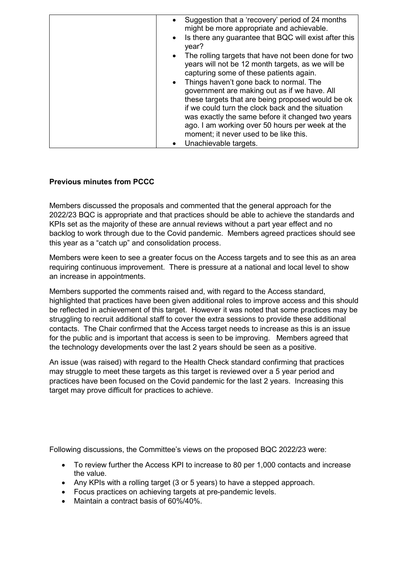| Suggestion that a 'recovery' period of 24 months<br>$\bullet$<br>might be more appropriate and achievable.<br>Is there any guarantee that BQC will exist after this<br>$\bullet$ |
|----------------------------------------------------------------------------------------------------------------------------------------------------------------------------------|
| year?                                                                                                                                                                            |
| The rolling targets that have not been done for two<br>$\bullet$<br>years will not be 12 month targets, as we will be<br>capturing some of these patients again.                 |
| Things haven't gone back to normal. The<br>$\bullet$                                                                                                                             |
| government are making out as if we have. All                                                                                                                                     |
| these targets that are being proposed would be ok                                                                                                                                |
| if we could turn the clock back and the situation<br>was exactly the same before it changed two years                                                                            |
| ago. I am working over 50 hours per week at the                                                                                                                                  |
| moment; it never used to be like this.                                                                                                                                           |
| Unachievable targets.<br>٠                                                                                                                                                       |

## **Previous minutes from PCCC**

Members discussed the proposals and commented that the general approach for the 2022/23 BQC is appropriate and that practices should be able to achieve the standards and KPIs set as the majority of these are annual reviews without a part year effect and no backlog to work through due to the Covid pandemic. Members agreed practices should see this year as a "catch up" and consolidation process.

Members were keen to see a greater focus on the Access targets and to see this as an area requiring continuous improvement. There is pressure at a national and local level to show an increase in appointments.

Members supported the comments raised and, with regard to the Access standard, highlighted that practices have been given additional roles to improve access and this should be reflected in achievement of this target. However it was noted that some practices may be struggling to recruit additional staff to cover the extra sessions to provide these additional contacts. The Chair confirmed that the Access target needs to increase as this is an issue for the public and is important that access is seen to be improving. Members agreed that the technology developments over the last 2 years should be seen as a positive.

An issue (was raised) with regard to the Health Check standard confirming that practices may struggle to meet these targets as this target is reviewed over a 5 year period and practices have been focused on the Covid pandemic for the last 2 years. Increasing this target may prove difficult for practices to achieve.

Following discussions, the Committee's views on the proposed BQC 2022/23 were:

- To review further the Access KPI to increase to 80 per 1,000 contacts and increase the value.
- Any KPIs with a rolling target (3 or 5 years) to have a stepped approach.
- Focus practices on achieving targets at pre-pandemic levels.
- $\bullet$  Maintain a contract basis of 60%/40%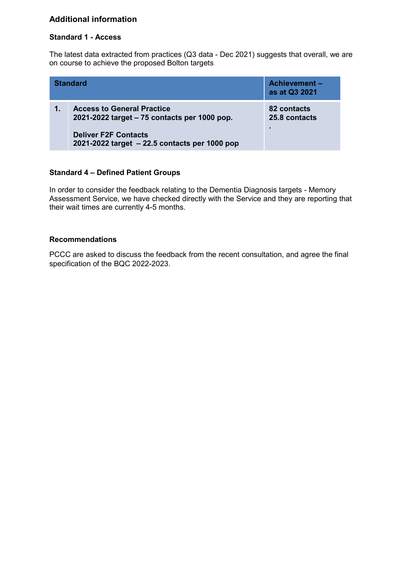## **Additional information**

#### **Standard 1 - Access**

The latest data extracted from practices (Q3 data - Dec 2021) suggests that overall, we are on course to achieve the proposed Bolton targets

|    | <b>Standard</b>                                                                                                                                                   | <b>Achievement -</b><br>as at Q3 2021 |
|----|-------------------------------------------------------------------------------------------------------------------------------------------------------------------|---------------------------------------|
| 1. | <b>Access to General Practice</b><br>2021-2022 target – 75 contacts per 1000 pop.<br><b>Deliver F2F Contacts</b><br>2021-2022 target - 22.5 contacts per 1000 pop | 82 contacts<br>25.8 contacts          |

#### **Standard 4 – Defined Patient Groups**

In order to consider the feedback relating to the Dementia Diagnosis targets - Memory Assessment Service, we have checked directly with the Service and they are reporting that their wait times are currently 4-5 months.

#### **Recommendations**

PCCC are asked to discuss the feedback from the recent consultation, and agree the final specification of the BQC 2022-2023.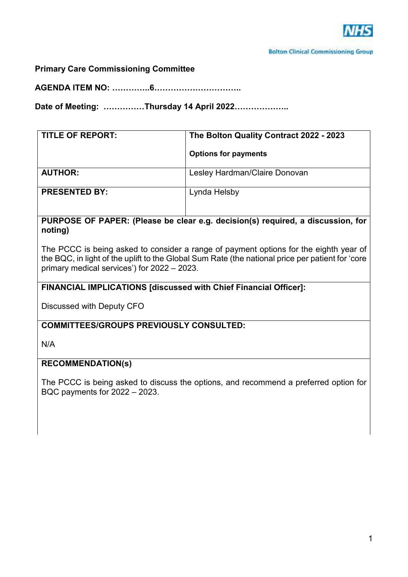

**Primary Care Commissioning Committee** 

**AGENDA ITEM NO: …………..6…………………………..** 

**Date of Meeting: ……………Thursday 14 April 2022………………..** 

| <b>TITLE OF REPORT:</b> | The Bolton Quality Contract 2022 - 2023<br><b>Options for payments</b> |
|-------------------------|------------------------------------------------------------------------|
| <b>AUTHOR:</b>          | Lesley Hardman/Claire Donovan                                          |
| <b>PRESENTED BY:</b>    | Lynda Helsby                                                           |

## **PURPOSE OF PAPER: (Please be clear e.g. decision(s) required, a discussion, for noting)**

The PCCC is being asked to consider a range of payment options for the eighth year of the BQC, in light of the uplift to the Global Sum Rate (the national price per patient for 'core primary medical services') for 2022 – 2023.

## **FINANCIAL IMPLICATIONS [discussed with Chief Financial Officer]:**

Discussed with Deputy CFO

#### **COMMITTEES/GROUPS PREVIOUSLY CONSULTED:**

N/A

#### **RECOMMENDATION(s)**

The PCCC is being asked to discuss the options, and recommend a preferred option for BQC payments for 2022 – 2023.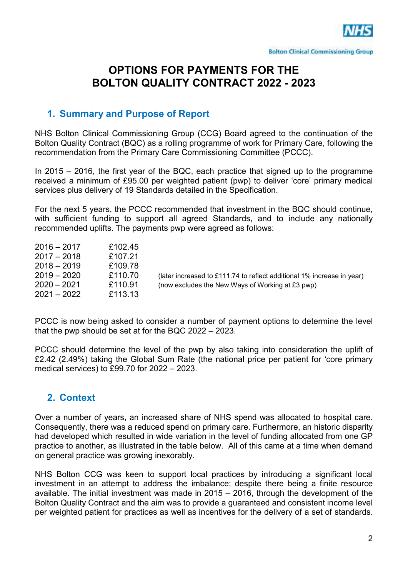

# **OPTIONS FOR PAYMENTS FOR THE BOLTON QUALITY CONTRACT 2022 - 2023**

## **1. Summary and Purpose of Report**

NHS Bolton Clinical Commissioning Group (CCG) Board agreed to the continuation of the Bolton Quality Contract (BQC) as a rolling programme of work for Primary Care, following the recommendation from the Primary Care Commissioning Committee (PCCC).

In 2015 – 2016, the first year of the BQC, each practice that signed up to the programme received a minimum of £95.00 per weighted patient (pwp) to deliver 'core' primary medical services plus delivery of 19 Standards detailed in the Specification.

For the next 5 years, the PCCC recommended that investment in the BQC should continue, with sufficient funding to support all agreed Standards, and to include any nationally recommended uplifts. The payments pwp were agreed as follows:

| $2016 - 2017$ | £102.45 |                                                                        |
|---------------|---------|------------------------------------------------------------------------|
| $2017 - 2018$ | £107.21 |                                                                        |
| $2018 - 2019$ | £109.78 |                                                                        |
| $2019 - 2020$ | £110.70 | (later increased to £111.74 to reflect additional 1% increase in year) |
| $2020 - 2021$ | £110.91 | (now excludes the New Ways of Working at £3 pwp)                       |
| $2021 - 2022$ | £113.13 |                                                                        |

PCCC is now being asked to consider a number of payment options to determine the level that the pwp should be set at for the BQC 2022 – 2023.

PCCC should determine the level of the pwp by also taking into consideration the uplift of £2.42 (2.49%) taking the Global Sum Rate (the national price per patient for 'core primary medical services) to £99.70 for 2022 – 2023.

# **2. Context**

Over a number of years, an increased share of NHS spend was allocated to hospital care. Consequently, there was a reduced spend on primary care. Furthermore, an historic disparity had developed which resulted in wide variation in the level of funding allocated from one GP practice to another, as illustrated in the table below. All of this came at a time when demand on general practice was growing inexorably.

NHS Bolton CCG was keen to support local practices by introducing a significant local investment in an attempt to address the imbalance; despite there being a finite resource available. The initial investment was made in 2015 – 2016, through the development of the Bolton Quality Contract and the aim was to provide a guaranteed and consistent income level per weighted patient for practices as well as incentives for the delivery of a set of standards.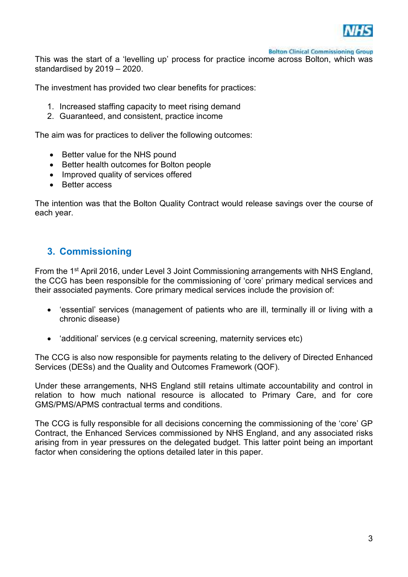

**Bolton Clinical Commissioning Group** 

This was the start of a 'levelling up' process for practice income across Bolton, which was standardised by 2019 – 2020.

The investment has provided two clear benefits for practices:

- 1. Increased staffing capacity to meet rising demand
- 2. Guaranteed, and consistent, practice income

The aim was for practices to deliver the following outcomes:

- Better value for the NHS pound
- Better health outcomes for Bolton people
- Improved quality of services offered
- Better access

The intention was that the Bolton Quality Contract would release savings over the course of each year.

## **3. Commissioning**

From the 1<sup>st</sup> April 2016, under Level 3 Joint Commissioning arrangements with NHS England, the CCG has been responsible for the commissioning of 'core' primary medical services and their associated payments. Core primary medical services include the provision of:

- 'essential' services (management of patients who are ill, terminally ill or living with a chronic disease)
- 'additional' services (e.g cervical screening, maternity services etc)

The CCG is also now responsible for payments relating to the delivery of Directed Enhanced Services (DESs) and the Quality and Outcomes Framework (QOF).

Under these arrangements, NHS England still retains ultimate accountability and control in relation to how much national resource is allocated to Primary Care, and for core GMS/PMS/APMS contractual terms and conditions.

The CCG is fully responsible for all decisions concerning the commissioning of the 'core' GP Contract, the Enhanced Services commissioned by NHS England, and any associated risks arising from in year pressures on the delegated budget. This latter point being an important factor when considering the options detailed later in this paper.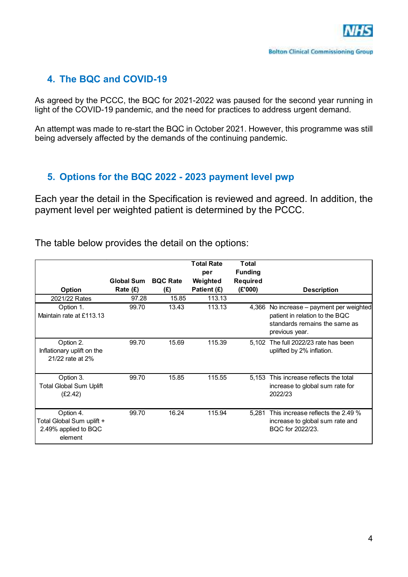# **4. The BQC and COVID-19**

As agreed by the PCCC, the BQC for 2021-2022 was paused for the second year running in light of the COVID-19 pandemic, and the need for practices to address urgent demand.

An attempt was made to re-start the BQC in October 2021. However, this programme was still being adversely affected by the demands of the continuing pandemic.

# **5. Options for the BQC 2022 - 2023 payment level pwp**

Each year the detail in the Specification is reviewed and agreed. In addition, the payment level per weighted patient is determined by the PCCC.

The table below provides the detail on the options:

|                                                                           | <b>Global Sum</b> | <b>BQC Rate</b> | <b>Total Rate</b><br>per<br>Weighted | <b>Total</b><br><b>Funding</b><br><b>Required</b> |                                                                                                                         |
|---------------------------------------------------------------------------|-------------------|-----------------|--------------------------------------|---------------------------------------------------|-------------------------------------------------------------------------------------------------------------------------|
| Option                                                                    | Rate (£)          | (E)             | Patient (£)                          | (E'000)                                           | <b>Description</b>                                                                                                      |
| 2021/22 Rates                                                             | 97.28             | 15.85           | 113.13                               |                                                   |                                                                                                                         |
| Option 1.<br>Maintain rate at £113.13                                     | 99.70             | 13.43           | 113.13                               | 4,366                                             | No increase – payment per weighted<br>patient in relation to the BQC<br>standards remains the same as<br>previous year. |
| Option 2.<br>Inflationary uplift on the<br>21/22 rate at 2%               | 99.70             | 15.69           | 115.39                               | 5.102                                             | The full 2022/23 rate has been<br>uplifted by 2% inflation.                                                             |
| Option 3.<br><b>Total Global Sum Uplift</b><br>(E2.42)                    | 99.70             | 15.85           | 115.55                               | 5,153                                             | This increase reflects the total<br>increase to global sum rate for<br>2022/23                                          |
| Option 4.<br>Total Global Sum uplift +<br>2.49% applied to BQC<br>element | 99.70             | 16.24           | 115.94                               | 5.281                                             | This increase reflects the 2.49 %<br>increase to global sum rate and<br>BQC for 2022/23.                                |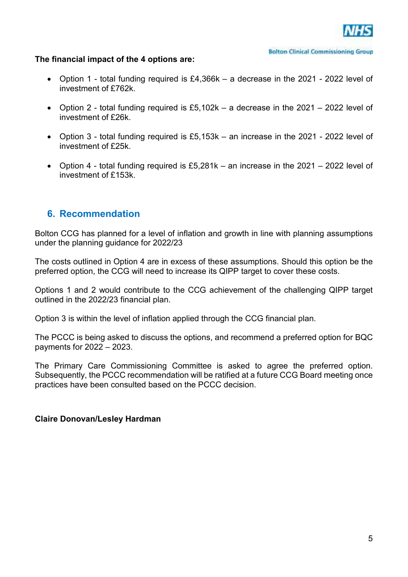

#### **The financial impact of the 4 options are:**

- Option 1 total funding required is £4,366k a decrease in the 2021 2022 level of investment of £762k.
- Option 2 total funding required is £5.102k a decrease in the 2021 2022 level of investment of £26k.
- Option 3 total funding required is £5,153k an increase in the 2021 2022 level of investment of £25k.
- Option 4 total funding required is £5,281k an increase in the 2021 2022 level of investment of £153k.

## **6. Recommendation**

Bolton CCG has planned for a level of inflation and growth in line with planning assumptions under the planning guidance for 2022/23

The costs outlined in Option 4 are in excess of these assumptions. Should this option be the preferred option, the CCG will need to increase its QIPP target to cover these costs.

Options 1 and 2 would contribute to the CCG achievement of the challenging QIPP target outlined in the 2022/23 financial plan.

Option 3 is within the level of inflation applied through the CCG financial plan.

The PCCC is being asked to discuss the options, and recommend a preferred option for BQC payments for 2022 – 2023.

The Primary Care Commissioning Committee is asked to agree the preferred option. Subsequently, the PCCC recommendation will be ratified at a future CCG Board meeting once practices have been consulted based on the PCCC decision.

#### **Claire Donovan/Lesley Hardman**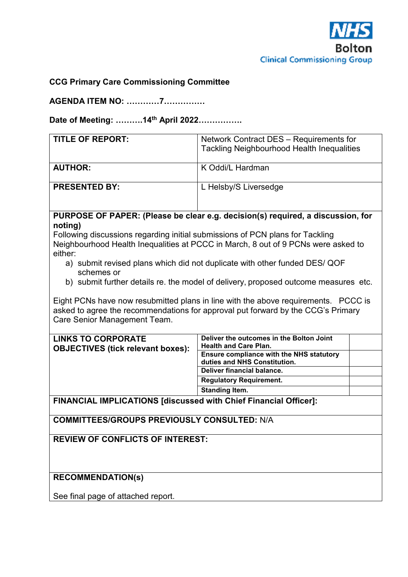

## **CCG Primary Care Commissioning Committee**

**AGENDA ITEM NO: …………7……………** 

**Date of Meeting: ……….14th April 2022…………….** 

| <b>TITLE OF REPORT:</b> | Network Contract DES - Requirements for<br><b>Tackling Neighbourhood Health Inequalities</b> |
|-------------------------|----------------------------------------------------------------------------------------------|
| <b>AUTHOR:</b>          | K Oddi/L Hardman                                                                             |
| <b>PRESENTED BY:</b>    | L Helsby/S Liversedge                                                                        |

## **PURPOSE OF PAPER: (Please be clear e.g. decision(s) required, a discussion, for noting)**

Following discussions regarding initial submissions of PCN plans for Tackling Neighbourhood Health Inequalities at PCCC in March, 8 out of 9 PCNs were asked to either:

- a) submit revised plans which did not duplicate with other funded DES/ QOF schemes or
- b) submit further details re. the model of delivery, proposed outcome measures etc.

Eight PCNs have now resubmitted plans in line with the above requirements. PCCC is asked to agree the recommendations for approval put forward by the CCG's Primary Care Senior Management Team.

| <b>LINKS TO CORPORATE</b><br><b>OBJECTIVES (tick relevant boxes):</b> | Deliver the outcomes in the Bolton Joint<br><b>Health and Care Plan.</b><br><b>Ensure compliance with the NHS statutory</b><br>duties and NHS Constitution.<br>Deliver financial balance.<br><b>Regulatory Requirement.</b><br><b>Standing Item.</b> |
|-----------------------------------------------------------------------|------------------------------------------------------------------------------------------------------------------------------------------------------------------------------------------------------------------------------------------------------|
|                                                                       |                                                                                                                                                                                                                                                      |

**FINANCIAL IMPLICATIONS [discussed with Chief Financial Officer]:** 

**COMMITTEES/GROUPS PREVIOUSLY CONSULTED:** N/A

**REVIEW OF CONFLICTS OF INTEREST:** 

#### **RECOMMENDATION(s)**

See final page of attached report.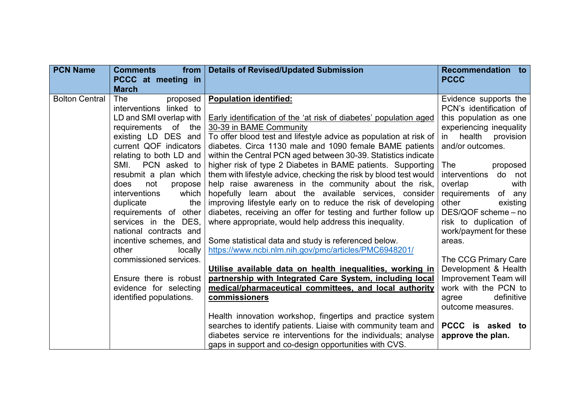| <b>PCN Name</b>       | <b>Comments</b><br>from<br>PCCC at meeting in                                                                                                                                                                                                                                                                                                                                                                                              | <b>Details of Revised/Updated Submission</b>                                                                                                                                                                                                                                                                                                                                                                                                                                                                                                                                                                                                                                                                                                                                                                                                                                                                | <b>Recommendation to</b><br><b>PCCC</b>                                                                                                                                                                                                                                                                                                                              |
|-----------------------|--------------------------------------------------------------------------------------------------------------------------------------------------------------------------------------------------------------------------------------------------------------------------------------------------------------------------------------------------------------------------------------------------------------------------------------------|-------------------------------------------------------------------------------------------------------------------------------------------------------------------------------------------------------------------------------------------------------------------------------------------------------------------------------------------------------------------------------------------------------------------------------------------------------------------------------------------------------------------------------------------------------------------------------------------------------------------------------------------------------------------------------------------------------------------------------------------------------------------------------------------------------------------------------------------------------------------------------------------------------------|----------------------------------------------------------------------------------------------------------------------------------------------------------------------------------------------------------------------------------------------------------------------------------------------------------------------------------------------------------------------|
| <b>Bolton Central</b> | <b>March</b><br>The<br>proposed<br>interventions linked to<br>LD and SMI overlap with<br>requirements of the<br>existing LD DES and<br>current QOF indicators<br>relating to both LD and<br>SMI.<br>PCN asked to<br>resubmit a plan which<br>does<br>not<br>propose<br>interventions<br>which<br>duplicate<br>the<br>requirements of other<br>services in the DES.<br>national contracts and<br>incentive schemes, and<br>other<br>locally | <b>Population identified:</b><br><b>Early identification of the 'at risk of diabetes' population aged</b><br>30-39 in BAME Community<br>To offer blood test and lifestyle advice as population at risk of<br>diabetes. Circa 1130 male and 1090 female BAME patients<br>within the Central PCN aged between 30-39. Statistics indicate<br>higher risk of type 2 Diabetes in BAME patients. Supporting<br>them with lifestyle advice, checking the risk by blood test would<br>help raise awareness in the community about the risk,<br>hopefully learn about the available services, consider<br>improving lifestyle early on to reduce the risk of developing<br>diabetes, receiving an offer for testing and further follow up<br>where appropriate, would help address this inequality.<br>Some statistical data and study is referenced below.<br>https://www.ncbi.nlm.nih.gov/pmc/articles/PMC6948201/ | Evidence supports the<br>PCN's identification of<br>this population as one<br>experiencing inequality<br>health provision<br>$\mathsf{in}$<br>and/or outcomes.<br><b>The</b><br>proposed<br>interventions do not<br>overlap<br>with<br>requirements of any<br>other<br>existing<br>DES/QOF scheme - no<br>risk to duplication of<br>work/payment for these<br>areas. |
|                       | commissioned services.<br>Ensure there is robust<br>evidence for selecting<br>identified populations.                                                                                                                                                                                                                                                                                                                                      | Utilise available data on health inequalities, working in<br>partnership with Integrated Care System, including local<br>medical/pharmaceutical committees, and local authority<br>commissioners<br>Health innovation workshop, fingertips and practice system<br>searches to identify patients. Liaise with community team and<br>diabetes service re interventions for the individuals; analyse<br>gaps in support and co-design opportunities with CVS.                                                                                                                                                                                                                                                                                                                                                                                                                                                  | The CCG Primary Care<br>Development & Health<br>Improvement Team will<br>work with the PCN to<br>definitive<br>agree<br>outcome measures.<br>PCCC is asked<br>to<br>approve the plan.                                                                                                                                                                                |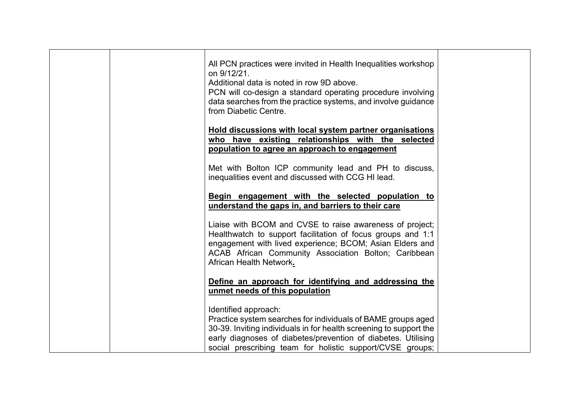|  | All PCN practices were invited in Health Inequalities workshop<br>on 9/12/21.<br>Additional data is noted in row 9D above.<br>PCN will co-design a standard operating procedure involving<br>data searches from the practice systems, and involve guidance<br>from Diabetic Centre.      |  |
|--|------------------------------------------------------------------------------------------------------------------------------------------------------------------------------------------------------------------------------------------------------------------------------------------|--|
|  | Hold discussions with local system partner organisations<br>who have existing relationships with the selected<br>population to agree an approach to engagement                                                                                                                           |  |
|  | Met with Bolton ICP community lead and PH to discuss,<br>inequalities event and discussed with CCG HI lead.                                                                                                                                                                              |  |
|  | Begin engagement with the selected population to<br>understand the gaps in, and barriers to their care                                                                                                                                                                                   |  |
|  | Liaise with BCOM and CVSE to raise awareness of project;<br>Healthwatch to support facilitation of focus groups and 1:1<br>engagement with lived experience; BCOM; Asian Elders and<br>ACAB African Community Association Bolton; Caribbean<br>African Health Network.                   |  |
|  | Define an approach for identifying and addressing the<br>unmet needs of this population                                                                                                                                                                                                  |  |
|  | Identified approach:<br>Practice system searches for individuals of BAME groups aged<br>30-39. Inviting individuals in for health screening to support the<br>early diagnoses of diabetes/prevention of diabetes. Utilising<br>social prescribing team for holistic support/CVSE groups; |  |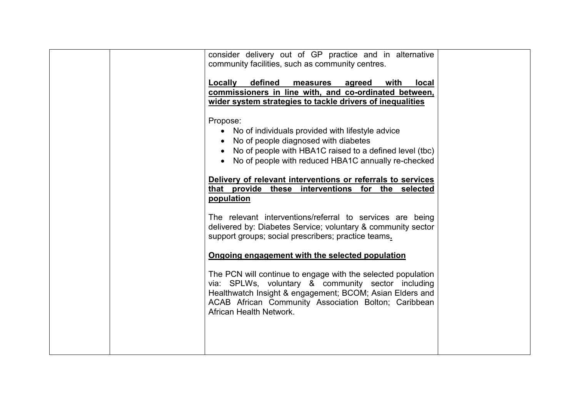| consider delivery out of GP practice and in alternative<br>community facilities, such as community centres.<br>defined<br>Locally<br><u>agreed</u><br>with<br>measures<br><b>local</b><br>commissioners in line with, and co-ordinated between,<br>wider system strategies to tackle drivers of inequalities |
|--------------------------------------------------------------------------------------------------------------------------------------------------------------------------------------------------------------------------------------------------------------------------------------------------------------|
| Propose:<br>No of individuals provided with lifestyle advice<br>No of people diagnosed with diabetes<br>No of people with HBA1C raised to a defined level (tbc)<br>No of people with reduced HBA1C annually re-checked                                                                                       |
| Delivery of relevant interventions or referrals to services<br>that provide these interventions for the selected<br>population                                                                                                                                                                               |
| The relevant interventions/referral to services are being<br>delivered by: Diabetes Service; voluntary & community sector<br>support groups; social prescribers; practice teams.                                                                                                                             |
| Ongoing engagement with the selected population                                                                                                                                                                                                                                                              |
| The PCN will continue to engage with the selected population<br>via: SPLWs, voluntary & community sector including<br>Healthwatch Insight & engagement; BCOM; Asian Elders and<br>ACAB African Community Association Bolton; Caribbean<br>African Health Network.                                            |
|                                                                                                                                                                                                                                                                                                              |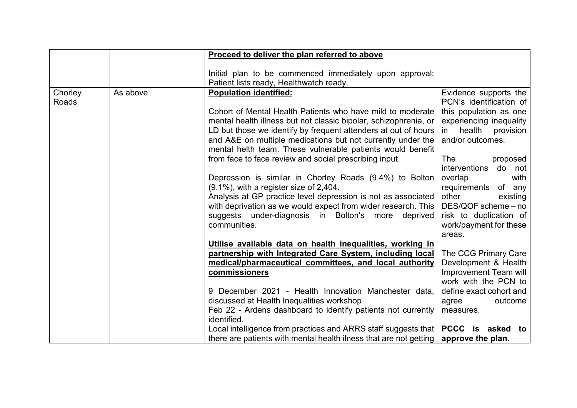|         |          | Proceed to deliver the plan referred to above                                                                      |                                              |
|---------|----------|--------------------------------------------------------------------------------------------------------------------|----------------------------------------------|
|         |          |                                                                                                                    |                                              |
|         |          | Initial plan to be commenced immediately upon approval;                                                            |                                              |
|         |          | Patient lists ready, Healthwatch ready.                                                                            |                                              |
| Chorley | As above | <b>Population identified:</b>                                                                                      | Evidence supports the                        |
| Roads   |          |                                                                                                                    | PCN's identification of                      |
|         |          | Cohort of Mental Health Patients who have mild to moderate                                                         | this population as one                       |
|         |          | mental health illness but not classic bipolar, schizophrenia, or                                                   | experiencing inequality                      |
|         |          | LD but those we identify by frequent attenders at out of hours                                                     | in health provision                          |
|         |          | and A&E on multiple medications but not currently under the                                                        | and/or outcomes.                             |
|         |          | mental helth team. These vulnerable patients would benefit                                                         |                                              |
|         |          | from face to face review and social prescribing input.                                                             | The<br>proposed                              |
|         |          |                                                                                                                    | <i>interventions</i><br>do not               |
|         |          | Depression is similar in Chorley Roads (9.4%) to Bolton                                                            | overlap<br>with                              |
|         |          | $(9.1\%)$ , with a register size of 2,404.                                                                         | of any<br>requirements                       |
|         |          | Analysis at GP practice level depression is not as associated                                                      | other<br>existing                            |
|         |          | with deprivation as we would expect from wider research. This                                                      | DES/QOF scheme - no                          |
|         |          | suggests under-diagnosis in Bolton's more<br>deprived                                                              | risk to duplication of                       |
|         |          | communities.                                                                                                       | work/payment for these                       |
|         |          |                                                                                                                    | areas.                                       |
|         |          | Utilise available data on health inequalities, working in                                                          |                                              |
|         |          | partnership with Integrated Care System, including local<br>medical/pharmaceutical committees, and local authority | The CCG Primary Care<br>Development & Health |
|         |          | commissioners                                                                                                      | Improvement Team will                        |
|         |          |                                                                                                                    | work with the PCN to                         |
|         |          | 9 December 2021 - Health Innovation Manchester data,                                                               | define exact cohort and                      |
|         |          | discussed at Health Inequalities workshop                                                                          | outcome<br>agree                             |
|         |          | Feb 22 - Ardens dashboard to identify patients not currently                                                       | measures.                                    |
|         |          | identified.                                                                                                        |                                              |
|         |          | Local intelligence from practices and ARRS staff suggests that                                                     | PCCC is<br>asked to                          |
|         |          | there are patients with mental health ilness that are not getting                                                  | approve the plan.                            |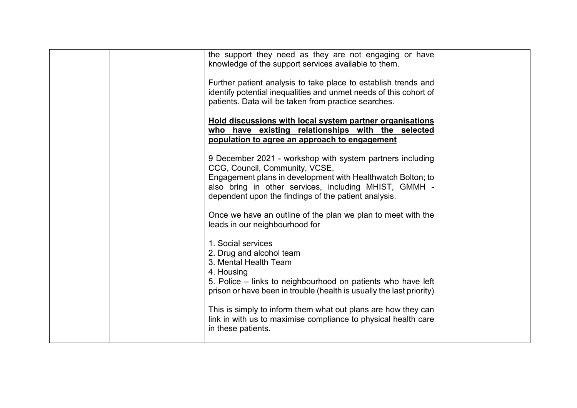|  | the support they need as they are not engaging or have<br>knowledge of the support services available to them.                                                                                                                                                              |  |
|--|-----------------------------------------------------------------------------------------------------------------------------------------------------------------------------------------------------------------------------------------------------------------------------|--|
|  | Further patient analysis to take place to establish trends and<br>identify potential inequalities and unmet needs of this cohort of<br>patients. Data will be taken from practice searches.                                                                                 |  |
|  | Hold discussions with local system partner organisations<br>who have existing relationships with the selected<br>population to agree an approach to engagement                                                                                                              |  |
|  | 9 December 2021 - workshop with system partners including<br>CCG, Council, Community, VCSE,<br>Engagement plans in development with Healthwatch Bolton; to<br>also bring in other services, including MHIST, GMMH -<br>dependent upon the findings of the patient analysis. |  |
|  | Once we have an outline of the plan we plan to meet with the<br>leads in our neighbourhood for                                                                                                                                                                              |  |
|  | 1. Social services<br>2. Drug and alcohol team<br>3. Mental Health Team<br>4. Housing<br>5. Police – links to neighbourhood on patients who have left                                                                                                                       |  |
|  | prison or have been in trouble (health is usually the last priority)<br>This is simply to inform them what out plans are how they can<br>link in with us to maximise compliance to physical health care<br>in these patients.                                               |  |
|  |                                                                                                                                                                                                                                                                             |  |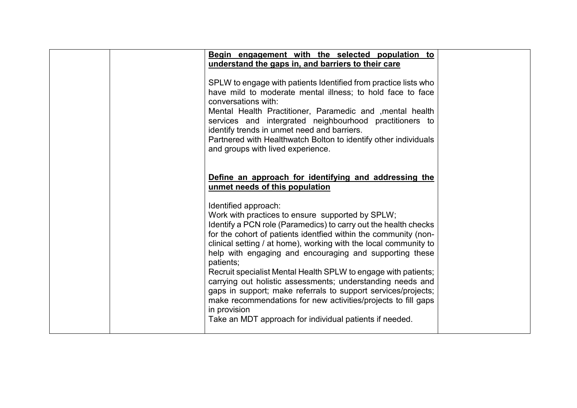|  | Begin engagement with the selected population to<br>understand the gaps in, and barriers to their care                                                                                                                                                                                                                                                                                                                                                                                                                                                                                                                                                                                                  |  |
|--|---------------------------------------------------------------------------------------------------------------------------------------------------------------------------------------------------------------------------------------------------------------------------------------------------------------------------------------------------------------------------------------------------------------------------------------------------------------------------------------------------------------------------------------------------------------------------------------------------------------------------------------------------------------------------------------------------------|--|
|  | SPLW to engage with patients Identified from practice lists who<br>have mild to moderate mental illness; to hold face to face<br>conversations with:<br>Mental Health Practitioner, Paramedic and , mental health<br>services and intergrated neighbourhood practitioners to<br>identify trends in unmet need and barriers.<br>Partnered with Healthwatch Bolton to identify other individuals<br>and groups with lived experience.                                                                                                                                                                                                                                                                     |  |
|  | Define an approach for identifying and addressing the<br>unmet needs of this population                                                                                                                                                                                                                                                                                                                                                                                                                                                                                                                                                                                                                 |  |
|  | Identified approach:<br>Work with practices to ensure supported by SPLW;<br>Identify a PCN role (Paramedics) to carry out the health checks<br>for the cohort of patients identfied within the community (non-<br>clinical setting / at home), working with the local community to<br>help with engaging and encouraging and supporting these<br>patients;<br>Recruit specialist Mental Health SPLW to engage with patients;<br>carrying out holistic assessments; understanding needs and<br>gaps in support; make referrals to support services/projects;<br>make recommendations for new activities/projects to fill gaps<br>in provision<br>Take an MDT approach for individual patients if needed. |  |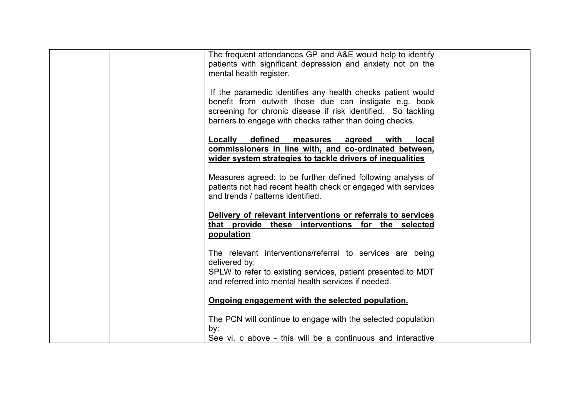| The frequent attendances GP and A&E would help to identify<br>patients with significant depression and anxiety not on the<br>mental health register.                                                                                               |  |
|----------------------------------------------------------------------------------------------------------------------------------------------------------------------------------------------------------------------------------------------------|--|
| If the paramedic identifies any health checks patient would<br>benefit from outwith those due can instigate e.g. book<br>screening for chronic disease if risk identified. So tackling<br>barriers to engage with checks rather than doing checks. |  |
| defined<br>Locally<br>with<br>measures<br><b>local</b><br>agreed<br>commissioners in line with, and co-ordinated between,<br>wider system strategies to tackle drivers of inequalities                                                             |  |
| Measures agreed: to be further defined following analysis of<br>patients not had recent health check or engaged with services<br>and trends / patterns identified.                                                                                 |  |
| Delivery of relevant interventions or referrals to services<br>that provide these interventions for the selected<br>population                                                                                                                     |  |
| The relevant interventions/referral to services are being<br>delivered by:<br>SPLW to refer to existing services, patient presented to MDT<br>and referred into mental health services if needed.                                                  |  |
| Ongoing engagement with the selected population.                                                                                                                                                                                                   |  |
| The PCN will continue to engage with the selected population<br>by:                                                                                                                                                                                |  |
| See vi. c above - this will be a continuous and interactive                                                                                                                                                                                        |  |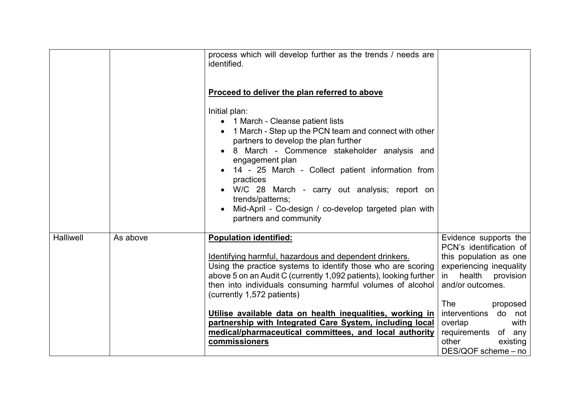|                  |          | process which will develop further as the trends / needs are<br>identified.<br>Proceed to deliver the plan referred to above<br>Initial plan:<br>• 1 March - Cleanse patient lists<br>1 March - Step up the PCN team and connect with other<br>partners to develop the plan further<br>8 March - Commence stakeholder analysis and<br>engagement plan<br>14 - 25 March - Collect patient information from<br>practices<br>W/C 28 March - carry out analysis; report on<br>trends/patterns;<br>Mid-April - Co-design / co-develop targeted plan with<br>partners and community |                                                                                                                                                                                                                                                                             |
|------------------|----------|-------------------------------------------------------------------------------------------------------------------------------------------------------------------------------------------------------------------------------------------------------------------------------------------------------------------------------------------------------------------------------------------------------------------------------------------------------------------------------------------------------------------------------------------------------------------------------|-----------------------------------------------------------------------------------------------------------------------------------------------------------------------------------------------------------------------------------------------------------------------------|
| <b>Halliwell</b> | As above | <b>Population identified:</b><br>Identifying harmful, hazardous and dependent drinkers.<br>Using the practice systems to identify those who are scoring<br>above 5 on an Audit C (currently 1,092 patients), looking further<br>then into individuals consuming harmful volumes of alcohol<br>(currently 1,572 patients)<br>Utilise available data on health inequalities, working in<br>partnership with Integrated Care System, including local<br>medical/pharmaceutical committees, and local authority<br>commissioners                                                  | Evidence supports the<br>PCN's identification of<br>this population as one<br>experiencing inequality<br>health<br>$\mathsf{in}$<br>provision<br>and/or outcomes.<br>The<br>proposed<br>interventions do not<br>with<br>overlap<br>requirements of any<br>other<br>existing |
|                  |          |                                                                                                                                                                                                                                                                                                                                                                                                                                                                                                                                                                               | DES/QOF scheme - no                                                                                                                                                                                                                                                         |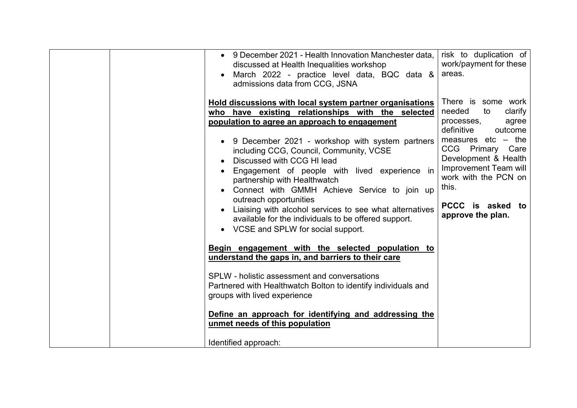| 9 December 2021 - Health Innovation Manchester data,<br>$\bullet$<br>discussed at Health Inequalities workshop<br>March 2022 - practice level data, BQC data &<br>admissions data from CCG, JSNA<br>Hold discussions with local system partner organisations<br>who have existing relationships with the selected<br>population to agree an approach to engagement<br>9 December 2021 - workshop with system partners<br>٠<br>including CCG, Council, Community, VCSE<br>Discussed with CCG HI lead<br>Engagement of people with lived experience in<br>partnership with Healthwatch<br>Connect with GMMH Achieve Service to join up | risk to duplication of<br>work/payment for these<br>areas.<br>There is some work<br>needed<br>clarify<br>to<br>processes,<br>agree<br>definitive<br>outcome<br>measures $etc - the$<br>CCG Primary Care<br>Development & Health<br>Improvement Team will<br>work with the PCN on<br>this. |
|--------------------------------------------------------------------------------------------------------------------------------------------------------------------------------------------------------------------------------------------------------------------------------------------------------------------------------------------------------------------------------------------------------------------------------------------------------------------------------------------------------------------------------------------------------------------------------------------------------------------------------------|-------------------------------------------------------------------------------------------------------------------------------------------------------------------------------------------------------------------------------------------------------------------------------------------|
| outreach opportunities<br>Liaising with alcohol services to see what alternatives<br>available for the individuals to be offered support.<br>VCSE and SPLW for social support.<br>Begin engagement with the selected population to<br>understand the gaps in, and barriers to their care<br>SPLW - holistic assessment and conversations<br>Partnered with Healthwatch Bolton to identify individuals and<br>groups with lived experience<br>Define an approach for identifying and addressing the<br>unmet needs of this population<br>Identified approach:                                                                         | PCCC is asked to<br>approve the plan.                                                                                                                                                                                                                                                     |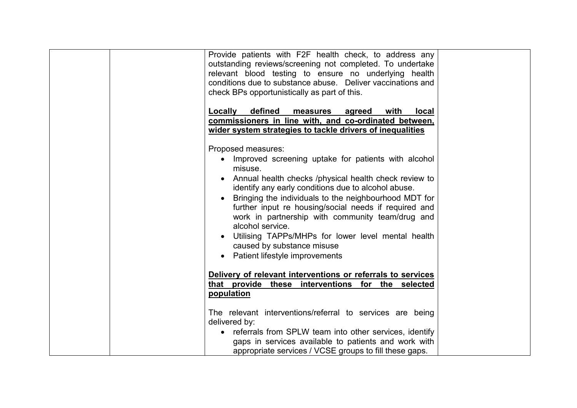| Provide patients with F2F health check, to address any<br>outstanding reviews/screening not completed. To undertake<br>relevant blood testing to ensure no underlying health<br>conditions due to substance abuse.  Deliver vaccinations and<br>check BPs opportunistically as part of this.                                                                                                                                                                                                                           |  |
|------------------------------------------------------------------------------------------------------------------------------------------------------------------------------------------------------------------------------------------------------------------------------------------------------------------------------------------------------------------------------------------------------------------------------------------------------------------------------------------------------------------------|--|
| Locally<br>defined<br>with<br>agreed<br>local<br>measures<br>commissioners in line with, and co-ordinated between,                                                                                                                                                                                                                                                                                                                                                                                                     |  |
| wider system strategies to tackle drivers of inequalities                                                                                                                                                                                                                                                                                                                                                                                                                                                              |  |
| Proposed measures:<br>Improved screening uptake for patients with alcohol<br>misuse.<br>• Annual health checks /physical health check review to<br>identify any early conditions due to alcohol abuse.<br>Bringing the individuals to the neighbourhood MDT for<br>further input re housing/social needs if required and<br>work in partnership with community team/drug and<br>alcohol service.<br>Utilising TAPPs/MHPs for lower level mental health<br>caused by substance misuse<br>Patient lifestyle improvements |  |
| Delivery of relevant interventions or referrals to services<br>that provide these interventions for the selected<br>population                                                                                                                                                                                                                                                                                                                                                                                         |  |
| The relevant interventions/referral to services are being<br>delivered by:<br>referrals from SPLW team into other services, identify<br>gaps in services available to patients and work with<br>appropriate services / VCSE groups to fill these gaps.                                                                                                                                                                                                                                                                 |  |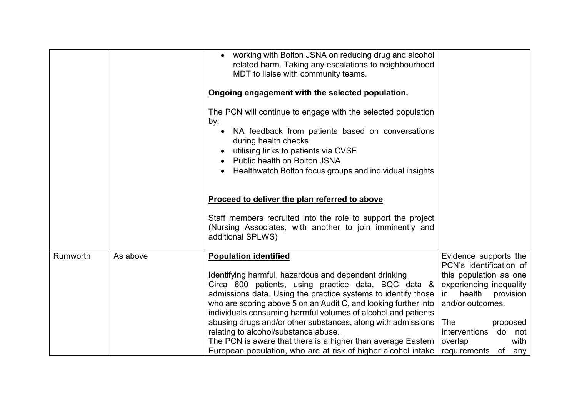|                      | • working with Bolton JSNA on reducing drug and alcohol<br>related harm. Taking any escalations to neighbourhood<br>MDT to liaise with community teams.<br>Ongoing engagement with the selected population.<br>The PCN will continue to engage with the selected population<br>by:<br>NA feedback from patients based on conversations<br>during health checks |                           |
|----------------------|----------------------------------------------------------------------------------------------------------------------------------------------------------------------------------------------------------------------------------------------------------------------------------------------------------------------------------------------------------------|---------------------------|
|                      | utilising links to patients via CVSE<br>Public health on Bolton JSNA                                                                                                                                                                                                                                                                                           |                           |
|                      | Healthwatch Bolton focus groups and individual insights                                                                                                                                                                                                                                                                                                        |                           |
|                      |                                                                                                                                                                                                                                                                                                                                                                |                           |
|                      | Proceed to deliver the plan referred to above                                                                                                                                                                                                                                                                                                                  |                           |
|                      | Staff members recruited into the role to support the project<br>(Nursing Associates, with another to join imminently and<br>additional SPLWS)                                                                                                                                                                                                                  |                           |
| Rumworth<br>As above | <b>Population identified</b>                                                                                                                                                                                                                                                                                                                                   | Evidence supports the     |
|                      |                                                                                                                                                                                                                                                                                                                                                                | PCN's identification of   |
|                      | Identifying harmful, hazardous and dependent drinking                                                                                                                                                                                                                                                                                                          | this population as one    |
|                      | Circa 600 patients, using practice data, BQC data &                                                                                                                                                                                                                                                                                                            | experiencing inequality   |
|                      | admissions data. Using the practice systems to identify those                                                                                                                                                                                                                                                                                                  | health<br>provision<br>in |
|                      | who are scoring above 5 on an Audit C, and looking further into                                                                                                                                                                                                                                                                                                | and/or outcomes.          |
|                      | individuals consuming harmful volumes of alcohol and patients<br>abusing drugs and/or other substances, along with admissions                                                                                                                                                                                                                                  | The<br>proposed           |
|                      | relating to alcohol/substance abuse.                                                                                                                                                                                                                                                                                                                           | interventions do not      |
|                      | The PCN is aware that there is a higher than average Eastern                                                                                                                                                                                                                                                                                                   | overlap<br>with           |
|                      | European population, who are at risk of higher alcohol intake                                                                                                                                                                                                                                                                                                  | requirements of any       |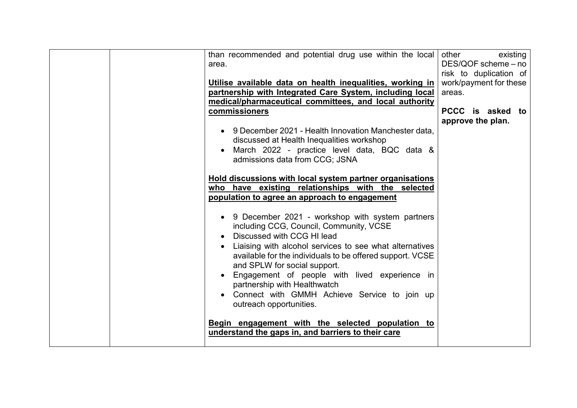| than recommended and potential drug use within the local<br>area.                          | other<br>existing<br>DES/QOF scheme - no<br>risk to duplication of |
|--------------------------------------------------------------------------------------------|--------------------------------------------------------------------|
| Utilise available data on health inequalities, working in                                  | work/payment for these                                             |
| partnership with Integrated Care System, including local                                   | areas.                                                             |
| medical/pharmaceutical committees, and local authority                                     |                                                                    |
|                                                                                            |                                                                    |
| commissioners                                                                              | PCCC is asked to                                                   |
|                                                                                            | approve the plan.                                                  |
| 9 December 2021 - Health Innovation Manchester data.<br>$\bullet$                          |                                                                    |
| discussed at Health Inequalities workshop                                                  |                                                                    |
| March 2022 - practice level data, BQC data &                                               |                                                                    |
|                                                                                            |                                                                    |
| admissions data from CCG; JSNA                                                             |                                                                    |
|                                                                                            |                                                                    |
| Hold discussions with local system partner organisations                                   |                                                                    |
| who have existing relationships with the selected                                          |                                                                    |
| population to agree an approach to engagement                                              |                                                                    |
|                                                                                            |                                                                    |
| 9 December 2021 - workshop with system partners<br>including CCG, Council, Community, VCSE |                                                                    |
| Discussed with CCG HI lead                                                                 |                                                                    |
|                                                                                            |                                                                    |
| Liaising with alcohol services to see what alternatives                                    |                                                                    |
| available for the individuals to be offered support. VCSE                                  |                                                                    |
| and SPLW for social support.                                                               |                                                                    |
| Engagement of people with lived experience in                                              |                                                                    |
| partnership with Healthwatch                                                               |                                                                    |
| Connect with GMMH Achieve Service to join up                                               |                                                                    |
| outreach opportunities.                                                                    |                                                                    |
|                                                                                            |                                                                    |
|                                                                                            |                                                                    |
| Begin engagement with the selected population to                                           |                                                                    |
| understand the gaps in, and barriers to their care                                         |                                                                    |
|                                                                                            |                                                                    |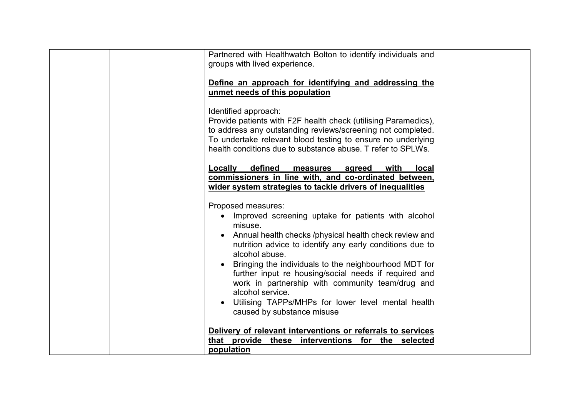| Partnered with Healthwatch Bolton to identify individuals and<br>groups with lived experience.                                                                                                                                                                                                                                                                                                                                                                                                             |  |
|------------------------------------------------------------------------------------------------------------------------------------------------------------------------------------------------------------------------------------------------------------------------------------------------------------------------------------------------------------------------------------------------------------------------------------------------------------------------------------------------------------|--|
| Define an approach for identifying and addressing the<br>unmet needs of this population                                                                                                                                                                                                                                                                                                                                                                                                                    |  |
| Identified approach:<br>Provide patients with F2F health check (utilising Paramedics),<br>to address any outstanding reviews/screening not completed.<br>To undertake relevant blood testing to ensure no underlying<br>health conditions due to substance abuse. T refer to SPLWs.                                                                                                                                                                                                                        |  |
| defined<br>Locally<br>with<br>measures<br>agreed<br><b>local</b><br>commissioners in line with, and co-ordinated between,<br>wider system strategies to tackle drivers of inequalities                                                                                                                                                                                                                                                                                                                     |  |
| Proposed measures:<br>Improved screening uptake for patients with alcohol<br>misuse.<br>Annual health checks /physical health check review and<br>nutrition advice to identify any early conditions due to<br>alcohol abuse.<br>Bringing the individuals to the neighbourhood MDT for<br>further input re housing/social needs if required and<br>work in partnership with community team/drug and<br>alcohol service.<br>Utilising TAPPs/MHPs for lower level mental health<br>caused by substance misuse |  |
| Delivery of relevant interventions or referrals to services<br>that provide these interventions for the selected                                                                                                                                                                                                                                                                                                                                                                                           |  |
| population                                                                                                                                                                                                                                                                                                                                                                                                                                                                                                 |  |
|                                                                                                                                                                                                                                                                                                                                                                                                                                                                                                            |  |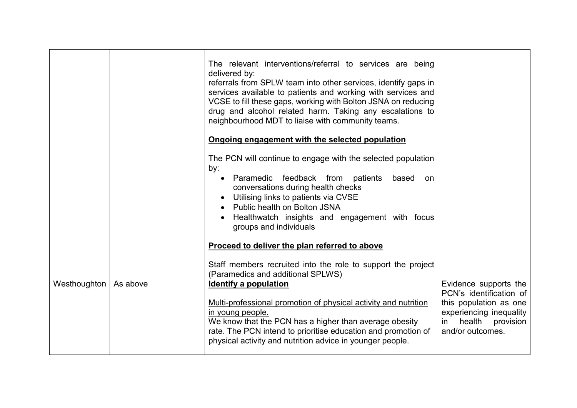|              |          | The relevant interventions/referral to services are being<br>delivered by:<br>referrals from SPLW team into other services, identify gaps in<br>services available to patients and working with services and<br>VCSE to fill these gaps, working with Bolton JSNA on reducing<br>drug and alcohol related harm. Taking any escalations to<br>neighbourhood MDT to liaise with community teams.<br>Ongoing engagement with the selected population |                                                                                                                                                     |
|--------------|----------|---------------------------------------------------------------------------------------------------------------------------------------------------------------------------------------------------------------------------------------------------------------------------------------------------------------------------------------------------------------------------------------------------------------------------------------------------|-----------------------------------------------------------------------------------------------------------------------------------------------------|
|              |          | The PCN will continue to engage with the selected population<br>by:<br>Paramedic feedback from patients<br>based<br>on<br>$\bullet$<br>conversations during health checks<br>Utilising links to patients via CVSE<br>• Public health on Bolton JSNA<br>Healthwatch insights and engagement with focus<br>groups and individuals                                                                                                                   |                                                                                                                                                     |
|              |          | Proceed to deliver the plan referred to above                                                                                                                                                                                                                                                                                                                                                                                                     |                                                                                                                                                     |
|              |          | Staff members recruited into the role to support the project<br>(Paramedics and additional SPLWS)                                                                                                                                                                                                                                                                                                                                                 |                                                                                                                                                     |
| Westhoughton | As above | Identify a population<br>Multi-professional promotion of physical activity and nutrition<br>in young people.<br>We know that the PCN has a higher than average obesity<br>rate. The PCN intend to prioritise education and promotion of<br>physical activity and nutrition advice in younger people.                                                                                                                                              | Evidence supports the<br>PCN's identification of<br>this population as one<br>experiencing inequality<br>health provision<br>in<br>and/or outcomes. |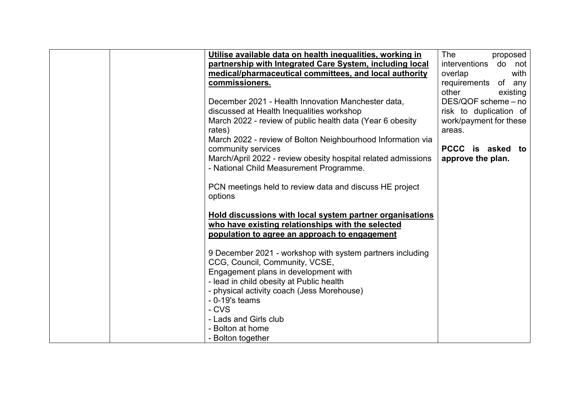| Utilise available data on health inequalities, working in     | The<br>proposed        |
|---------------------------------------------------------------|------------------------|
| partnership with Integrated Care System, including local      | interventions do not   |
| medical/pharmaceutical committees, and local authority        | overlap<br>with        |
| commissioners.                                                | requirements of any    |
|                                                               | other<br>existing      |
| December 2021 - Health Innovation Manchester data,            | DES/QOF scheme - no    |
| discussed at Health Inequalities workshop                     | risk to duplication of |
| March 2022 - review of public health data (Year 6 obesity     | work/payment for these |
| rates)                                                        | areas.                 |
| March 2022 - review of Bolton Neighbourhood Information via   |                        |
| community services                                            | PCCC is asked to       |
| March/April 2022 - review obesity hospital related admissions | approve the plan.      |
| - National Child Measurement Programme.                       |                        |
|                                                               |                        |
| PCN meetings held to review data and discuss HE project       |                        |
| options                                                       |                        |
|                                                               |                        |
| Hold discussions with local system partner organisations      |                        |
| who have existing relationships with the selected             |                        |
| population to agree an approach to engagement                 |                        |
|                                                               |                        |
| 9 December 2021 - workshop with system partners including     |                        |
| CCG, Council, Community, VCSE,                                |                        |
| Engagement plans in development with                          |                        |
| - lead in child obesity at Public health                      |                        |
| - physical activity coach (Jess Morehouse)                    |                        |
| $-0-19$ 's teams                                              |                        |
| - CVS                                                         |                        |
| - Lads and Girls club                                         |                        |
|                                                               |                        |
| - Bolton at home                                              |                        |
| - Bolton together                                             |                        |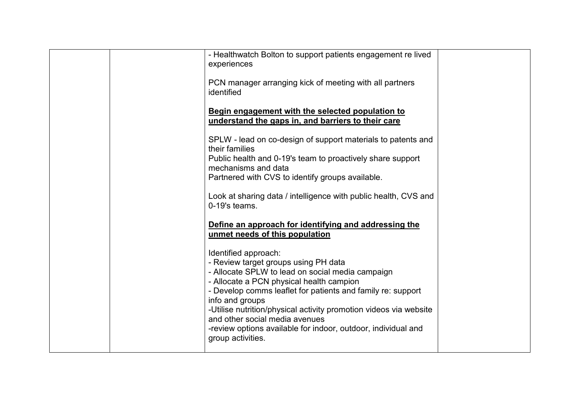| - Healthwatch Bolton to support patients engagement re lived<br>experiences<br>PCN manager arranging kick of meeting with all partners<br>identified                                                                                                                                                                                                                                                                                        |  |
|---------------------------------------------------------------------------------------------------------------------------------------------------------------------------------------------------------------------------------------------------------------------------------------------------------------------------------------------------------------------------------------------------------------------------------------------|--|
| Begin engagement with the selected population to<br>understand the gaps in, and barriers to their care                                                                                                                                                                                                                                                                                                                                      |  |
| SPLW - lead on co-design of support materials to patents and<br>their families<br>Public health and 0-19's team to proactively share support<br>mechanisms and data<br>Partnered with CVS to identify groups available.<br>Look at sharing data / intelligence with public health, CVS and<br>$0-19$ 's teams.                                                                                                                              |  |
| Define an approach for identifying and addressing the<br>unmet needs of this population                                                                                                                                                                                                                                                                                                                                                     |  |
| Identified approach:<br>- Review target groups using PH data<br>- Allocate SPLW to lead on social media campaign<br>- Allocate a PCN physical health campion<br>- Develop comms leaflet for patients and family re: support<br>info and groups<br>-Utilise nutrition/physical activity promotion videos via website<br>and other social media avenues<br>-review options available for indoor, outdoor, individual and<br>group activities. |  |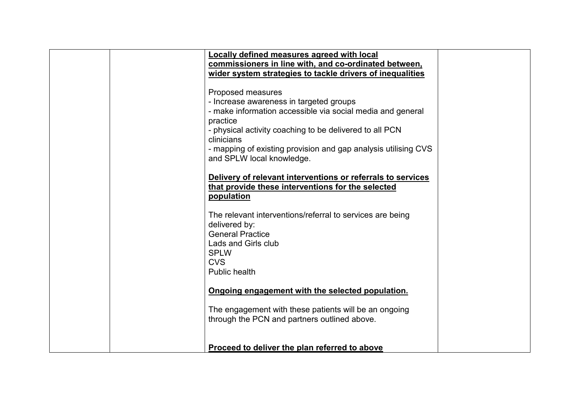| Locally defined measures agreed with local<br>commissioners in line with, and co-ordinated between,<br>wider system strategies to tackle drivers of inequalities<br>Proposed measures<br>- Increase awareness in targeted groups |  |
|----------------------------------------------------------------------------------------------------------------------------------------------------------------------------------------------------------------------------------|--|
| - make information accessible via social media and general<br>practice<br>- physical activity coaching to be delivered to all PCN<br>clinicians<br>- mapping of existing provision and gap analysis utilising CVS                |  |
| and SPLW local knowledge.<br>Delivery of relevant interventions or referrals to services<br>that provide these interventions for the selected<br>population                                                                      |  |
| The relevant interventions/referral to services are being<br>delivered by:<br><b>General Practice</b><br>Lads and Girls club<br><b>SPLW</b>                                                                                      |  |
| <b>CVS</b><br><b>Public health</b><br>Ongoing engagement with the selected population.                                                                                                                                           |  |
| The engagement with these patients will be an ongoing<br>through the PCN and partners outlined above.                                                                                                                            |  |
| Proceed to deliver the plan referred to above                                                                                                                                                                                    |  |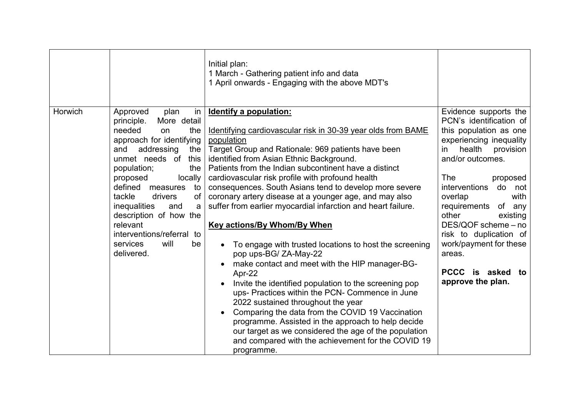|         |                                                                                                                                                                                                                                                                                                                                                                                                          | Initial plan:<br>1 March - Gathering patient info and data<br>1 April onwards - Engaging with the above MDT's                                                                                                                                                                                                                                                                                                                                                                                                                                                                                                                                                                                                                                                                                                                                                                                                                                                                                                                                                                               |                                                                                                                                                                                                                                                                                                                                                                                                                |
|---------|----------------------------------------------------------------------------------------------------------------------------------------------------------------------------------------------------------------------------------------------------------------------------------------------------------------------------------------------------------------------------------------------------------|---------------------------------------------------------------------------------------------------------------------------------------------------------------------------------------------------------------------------------------------------------------------------------------------------------------------------------------------------------------------------------------------------------------------------------------------------------------------------------------------------------------------------------------------------------------------------------------------------------------------------------------------------------------------------------------------------------------------------------------------------------------------------------------------------------------------------------------------------------------------------------------------------------------------------------------------------------------------------------------------------------------------------------------------------------------------------------------------|----------------------------------------------------------------------------------------------------------------------------------------------------------------------------------------------------------------------------------------------------------------------------------------------------------------------------------------------------------------------------------------------------------------|
| Horwich | Approved<br>plan<br>in<br>More detail<br>principle.<br>needed<br>the<br>on<br>approach for identifying<br>and<br>addressing<br>the<br>unmet needs of<br>this<br>population;<br>the<br>locally<br>proposed<br>defined<br>measures<br>to<br>tackle<br>drivers<br>of<br>inequalities<br>and<br>a<br>description of how the<br>relevant<br>interventions/referral to<br>services<br>will<br>be<br>delivered. | <b>Identify a population:</b><br>Identifying cardiovascular risk in 30-39 year olds from BAME<br>population<br>Target Group and Rationale: 969 patients have been<br>identified from Asian Ethnic Background.<br>Patients from the Indian subcontinent have a distinct<br>cardiovascular risk profile with profound health<br>consequences. South Asians tend to develop more severe<br>coronary artery disease at a younger age, and may also<br>suffer from earlier myocardial infarction and heart failure.<br><b>Key actions/By Whom/By When</b><br>To engage with trusted locations to host the screening<br>pop ups-BG/ZA-May-22<br>make contact and meet with the HIP manager-BG-<br>Apr-22<br>Invite the identified population to the screening pop<br>ups- Practices within the PCN- Commence in June<br>2022 sustained throughout the year<br>Comparing the data from the COVID 19 Vaccination<br>programme. Assisted in the approach to help decide<br>our target as we considered the age of the population<br>and compared with the achievement for the COVID 19<br>programme. | Evidence supports the<br>PCN's identification of<br>this population as one<br>experiencing inequality<br>health<br>provision<br>in<br>and/or outcomes.<br>The<br>proposed<br><i>interventions</i><br>do not<br>overlap<br>with<br>requirements<br>of any<br>other<br>existing<br>DES/QOF scheme - no<br>risk to duplication of<br>work/payment for these<br>areas.<br>PCCC is asked<br>to<br>approve the plan. |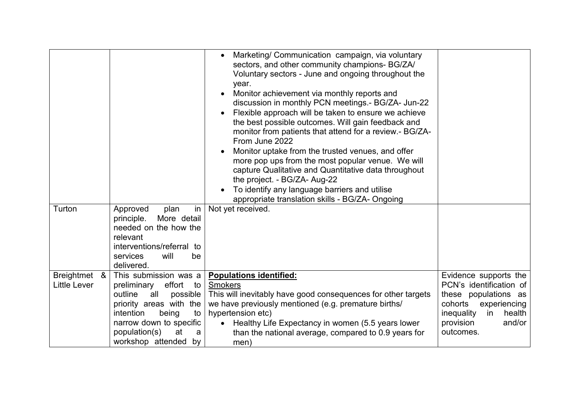| Turton                                        | Approved<br>in<br>plan<br>More detail<br>principle.<br>needed on the how the<br>relevant<br>interventions/referral to<br>services<br>will<br>be<br>delivered.                                                         | Marketing/ Communication campaign, via voluntary<br>$\bullet$<br>sectors, and other community champions- BG/ZA/<br>Voluntary sectors - June and ongoing throughout the<br>year.<br>Monitor achievement via monthly reports and<br>discussion in monthly PCN meetings.- BG/ZA- Jun-22<br>Flexible approach will be taken to ensure we achieve<br>the best possible outcomes. Will gain feedback and<br>monitor from patients that attend for a review.- BG/ZA-<br>From June 2022<br>Monitor uptake from the trusted venues, and offer<br>more pop ups from the most popular venue. We will<br>capture Qualitative and Quantitative data throughout<br>the project. - BG/ZA- Aug-22<br>To identify any language barriers and utilise<br>appropriate translation skills - BG/ZA- Ongoing<br>Not yet received. |                                                                                                                                                                       |
|-----------------------------------------------|-----------------------------------------------------------------------------------------------------------------------------------------------------------------------------------------------------------------------|------------------------------------------------------------------------------------------------------------------------------------------------------------------------------------------------------------------------------------------------------------------------------------------------------------------------------------------------------------------------------------------------------------------------------------------------------------------------------------------------------------------------------------------------------------------------------------------------------------------------------------------------------------------------------------------------------------------------------------------------------------------------------------------------------------|-----------------------------------------------------------------------------------------------------------------------------------------------------------------------|
| <b>Breightmet</b><br>&<br><b>Little Lever</b> | This submission was a<br>effort to<br>preliminary<br>outline<br>all<br>possible<br>priority areas with the<br>intention<br>being<br>to<br>narrow down to specific<br>population(s)<br>at<br>a<br>workshop attended by | <b>Populations identified:</b><br><b>Smokers</b><br>This will inevitably have good consequences for other targets<br>we have previously mentioned (e.g. premature births/<br>hypertension etc)<br>Healthy Life Expectancy in women (5.5 years lower<br>$\bullet$<br>than the national average, compared to 0.9 years for<br>men)                                                                                                                                                                                                                                                                                                                                                                                                                                                                           | Evidence supports the<br>PCN's identification of<br>these populations as<br>cohorts<br>experiencing<br>inequality<br>health<br>in<br>provision<br>and/or<br>outcomes. |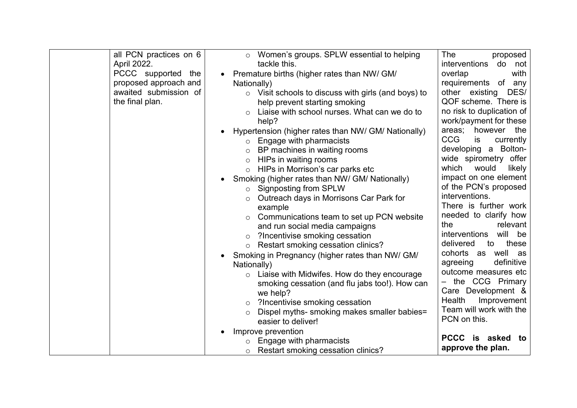| all PCN practices on 6 | ○ Women's groups. SPLW essential to helping                      | The<br>proposed               |
|------------------------|------------------------------------------------------------------|-------------------------------|
| April 2022.            | tackle this.                                                     | interventions<br>do not       |
| PCCC supported the     | Premature births (higher rates than NW/ GM/<br>$\bullet$         | overlap<br>with               |
| proposed approach and  | Nationally)                                                      | requirements of any           |
| awaited submission of  | Visit schools to discuss with girls (and boys) to<br>$\circ$     | other existing<br>DES/        |
| the final plan.        | help prevent starting smoking                                    | QOF scheme. There is          |
|                        | Liaise with school nurses. What can we do to<br>$\circ$          | no risk to duplication of     |
|                        | help?                                                            | work/payment for these        |
|                        | Hypertension (higher rates than NW/ GM/ Nationally)<br>$\bullet$ | however the<br>areas;         |
|                        | Engage with pharmacists<br>$\circ$                               | <b>CCG</b><br>is<br>currently |
|                        | BP machines in waiting rooms<br>$\circ$                          | a Bolton-<br>developing       |
|                        | HIPs in waiting rooms<br>$\circ$                                 | wide spirometry offer         |
|                        | HIPs in Morrison's car parks etc<br>$\circ$                      | which<br>would<br>likely      |
|                        | Smoking (higher rates than NW/ GM/ Nationally)<br>$\bullet$      | impact on one element         |
|                        | <b>Signposting from SPLW</b><br>$\circ$                          | of the PCN's proposed         |
|                        | Outreach days in Morrisons Car Park for                          | interventions.                |
|                        | example                                                          | There is further work         |
|                        | Communications team to set up PCN website<br>$\circ$             | needed to clarify how         |
|                        | and run social media campaigns                                   | the<br>relevant               |
|                        | ?Incentivise smoking cessation<br>$\circ$                        | will be<br>interventions      |
|                        | Restart smoking cessation clinics?<br>$\circ$                    | delivered<br>these<br>to      |
|                        | Smoking in Pregnancy (higher rates than NW/ GM/<br>$\bullet$     | cohorts as well as            |
|                        | Nationally)                                                      | definitive<br>agreeing        |
|                        | Liaise with Midwifes. How do they encourage<br>$\circ$           | outcome measures etc          |
|                        | smoking cessation (and flu jabs too!). How can                   | - the CCG Primary             |
|                        | we help?                                                         | Care Development &            |
|                        | ?Incentivise smoking cessation<br>$\circ$                        | Health<br>Improvement         |
|                        | Dispel myths- smoking makes smaller babies=                      | Team will work with the       |
|                        | easier to deliver!                                               | PCN on this.                  |
|                        | Improve prevention                                               |                               |
|                        | Engage with pharmacists                                          | <b>PCCC</b><br>is asked<br>to |
|                        | Restart smoking cessation clinics?<br>$\circ$                    | approve the plan.             |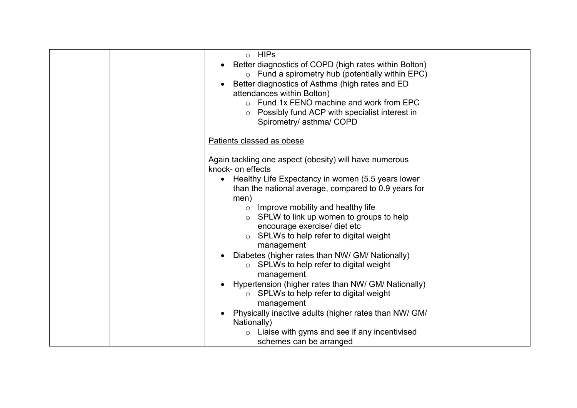| o HIPs<br>Better diagnostics of COPD (high rates within Bolton)<br>$\circ$ Fund a spirometry hub (potentially within EPC)<br>Better diagnostics of Asthma (high rates and ED<br>attendances within Bolton)<br>$\circ$ Fund 1x FENO machine and work from EPC<br>Possibly fund ACP with specialist interest in<br>Spirometry/ asthma/ COPD                                                                                                                                                                                                                                                                                             |  |
|---------------------------------------------------------------------------------------------------------------------------------------------------------------------------------------------------------------------------------------------------------------------------------------------------------------------------------------------------------------------------------------------------------------------------------------------------------------------------------------------------------------------------------------------------------------------------------------------------------------------------------------|--|
| Patients classed as obese                                                                                                                                                                                                                                                                                                                                                                                                                                                                                                                                                                                                             |  |
| Again tackling one aspect (obesity) will have numerous<br>knock- on effects<br>Healthy Life Expectancy in women (5.5 years lower<br>than the national average, compared to 0.9 years for<br>men)<br>$\circ$ Improve mobility and healthy life<br>SPLW to link up women to groups to help<br>encourage exercise/ diet etc<br>SPLWs to help refer to digital weight<br>$\circ$<br>management<br>Diabetes (higher rates than NW/ GM/ Nationally)<br>SPLWs to help refer to digital weight<br>$\circ$<br>management<br>Hypertension (higher rates than NW/ GM/ Nationally)<br>$\circ$ SPLWs to help refer to digital weight<br>management |  |
| Physically inactive adults (higher rates than NW/ GM/<br>Nationally)<br>Liaise with gyms and see if any incentivised<br>schemes can be arranged                                                                                                                                                                                                                                                                                                                                                                                                                                                                                       |  |